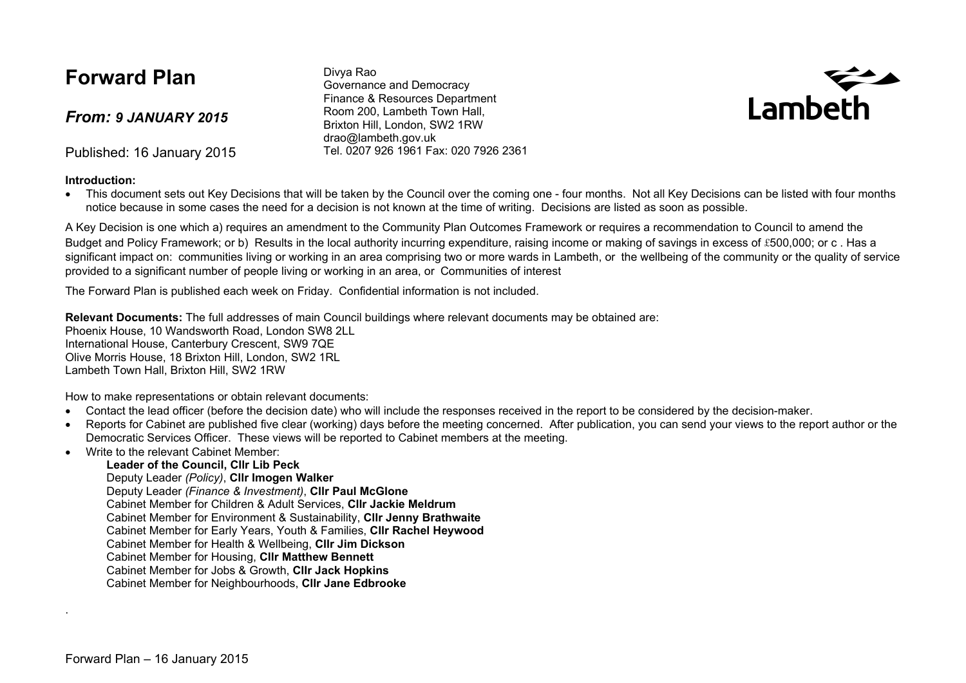### **Forward Plan**

*From: 9 JANUARY 2015*

Published: 16 January 2015

#### **Introduction:**

Divya Rao Governance and Democracy Finance & Resources Department Room 200, Lambeth Town Hall, Brixton Hill, London, SW2 1RW drao@lambeth.gov.uk Tel. 0207 926 1961 Fax: 020 7926 2361



• This document sets out Key Decisions that will be taken by the Council over the coming one - four months. Not all Key Decisions can be listed with four months notice because in some cases the need for a decision is not known at the time of writing. Decisions are listed as soon as possible.

A Key Decision is one which a) requires an amendment to the Community Plan Outcomes Framework or requires a recommendation to Council to amend the Budget and Policy Framework; or b) Results in the local authority incurring expenditure, raising income or making of savings in excess of £500,000; or c, Has a significant impact on: communities living or working in an area comprising two or more wards in Lambeth, or the wellbeing of the community or the quality of service provided to a significant number of people living or working in an area, or Communities of interest

The Forward Plan is published each week on Friday. Confidential information is not included.

**Relevant Documents:** The full addresses of main Council buildings where relevant documents may be obtained are: Phoenix House, 10 Wandsworth Road, London SW8 2LL International House, Canterbury Crescent, SW9 7QE Olive Morris House, 18 Brixton Hill, London, SW2 1RL Lambeth Town Hall, Brixton Hill, SW2 1RW

How to make representations or obtain relevant documents:

- Contact the lead officer (before the decision date) who will include the responses received in the report to be considered by the decision-maker.
- Reports for Cabinet are published five clear (working) days before the meeting concerned. After publication, you can send your views to the report author or the Democratic Services Officer. These views will be reported to Cabinet members at the meeting.
- Write to the relevant Cabinet Member:

#### **Leader of the Council, Cllr Lib Peck**

Deputy Leader *(Policy)*, **Cllr Imogen Walker**

Deputy Leader *(Finance & Investment)*, **Cllr Paul McGlone**

Cabinet Member for Children & Adult Services, **Cllr Jackie Meldrum**

Cabinet Member for Environment & Sustainability, **Cllr Jenny Brathwaite**

Cabinet Member for Early Years, Youth & Families, **Cllr Rachel Heywood**

Cabinet Member for Health & Wellbeing, **Cllr Jim Dickson**

Cabinet Member for Housing, **Cllr Matthew Bennett**

Cabinet Member for Jobs & Growth, **Cllr Jack Hopkins**

Cabinet Member for Neighbourhoods, **Cllr Jane Edbrooke**

.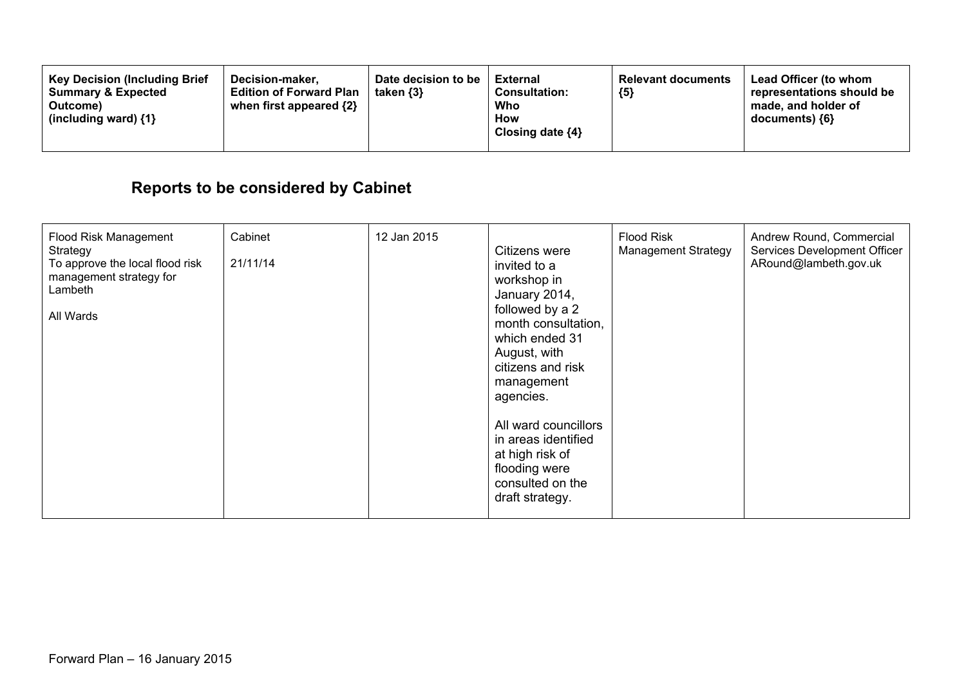| <b>Key Decision (Including Brief</b><br>Decision-maker,<br><b>Summary &amp; Expected</b><br><b>Edition of Forward Plan</b><br>when first appeared $\{2\}$<br>Outcome)<br>(including ward) $\{1\}$ | Date decision to be<br>taken $\{3\}$ | External<br><b>Consultation:</b><br>Who<br>How<br>Closing date $\{4\}$ | <b>Relevant documents</b><br>${5}$ | <b>Lead Officer (to whom</b><br>representations should be<br>made, and holder of<br>documents) ${6}$ |
|---------------------------------------------------------------------------------------------------------------------------------------------------------------------------------------------------|--------------------------------------|------------------------------------------------------------------------|------------------------------------|------------------------------------------------------------------------------------------------------|
|---------------------------------------------------------------------------------------------------------------------------------------------------------------------------------------------------|--------------------------------------|------------------------------------------------------------------------|------------------------------------|------------------------------------------------------------------------------------------------------|

# **Reports to be considered by Cabinet**

| <b>Flood Risk Management</b><br>Strategy<br>To approve the local flood risk<br>management strategy for<br>Lambeth<br>All Wards | Cabinet<br>21/11/14 | 12 Jan 2015 | Citizens were<br>invited to a<br>workshop in<br>January 2014,<br>followed by a 2<br>month consultation,<br>which ended 31<br>August, with<br>citizens and risk<br>management<br>agencies.<br>All ward councillors<br>in areas identified<br>at high risk of<br>flooding were<br>consulted on the<br>draft strategy. | <b>Flood Risk</b><br><b>Management Strategy</b> | Andrew Round, Commercial<br>Services Development Officer<br>ARound@lambeth.gov.uk |
|--------------------------------------------------------------------------------------------------------------------------------|---------------------|-------------|---------------------------------------------------------------------------------------------------------------------------------------------------------------------------------------------------------------------------------------------------------------------------------------------------------------------|-------------------------------------------------|-----------------------------------------------------------------------------------|
|--------------------------------------------------------------------------------------------------------------------------------|---------------------|-------------|---------------------------------------------------------------------------------------------------------------------------------------------------------------------------------------------------------------------------------------------------------------------------------------------------------------------|-------------------------------------------------|-----------------------------------------------------------------------------------|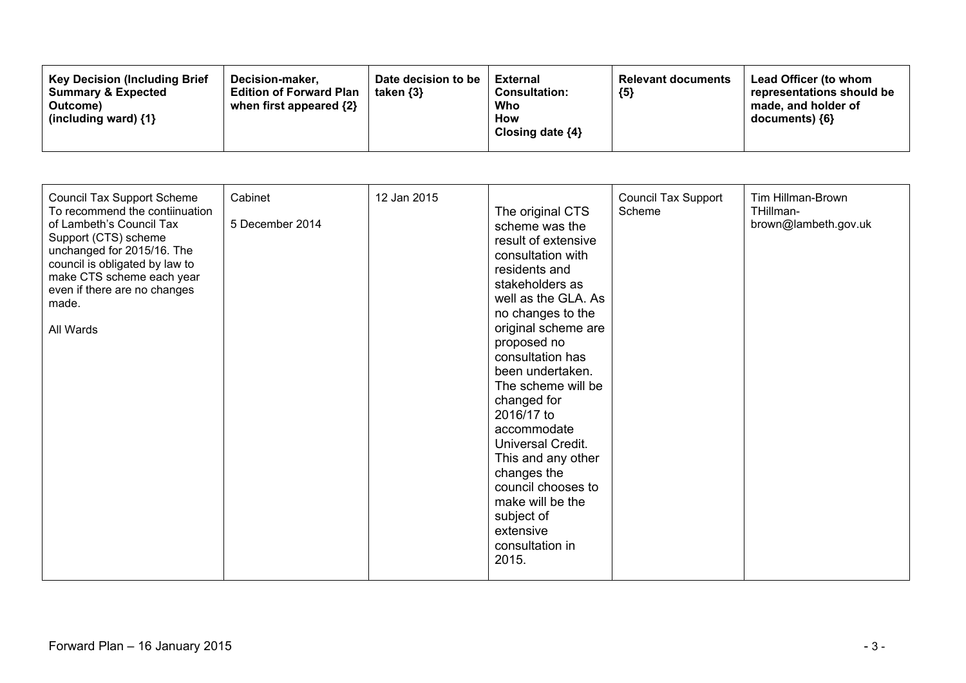| <b>Key Decision (Including Brief</b><br>Decision-maker.<br><b>Summary &amp; Expected</b><br>Outcome)<br>(including ward) $\{1\}$ | Date decision to be<br>taken $\{3\}$<br><b>Edition of Forward Plan</b><br>when first appeared $\{2\}$ | <b>External</b><br><b>Consultation:</b><br>Who<br>How<br>Closing date $\{4\}$ | <b>Relevant documents</b><br>${5}$ | <b>Lead Officer (to whom</b><br>representations should be<br>made, and holder of<br>documents) {6} |
|----------------------------------------------------------------------------------------------------------------------------------|-------------------------------------------------------------------------------------------------------|-------------------------------------------------------------------------------|------------------------------------|----------------------------------------------------------------------------------------------------|
|----------------------------------------------------------------------------------------------------------------------------------|-------------------------------------------------------------------------------------------------------|-------------------------------------------------------------------------------|------------------------------------|----------------------------------------------------------------------------------------------------|

| <b>Council Tax Support Scheme</b><br>To recommend the contiinuation<br>of Lambeth's Council Tax<br>Support (CTS) scheme<br>unchanged for 2015/16. The<br>council is obligated by law to<br>make CTS scheme each year<br>even if there are no changes<br>made.<br>All Wards | Cabinet<br>5 December 2014 | 12 Jan 2015 | The original CTS<br>scheme was the<br>result of extensive<br>consultation with<br>residents and<br>stakeholders as<br>well as the GLA. As<br>no changes to the<br>original scheme are<br>proposed no<br>consultation has<br>been undertaken.<br>The scheme will be<br>changed for<br>2016/17 to<br>accommodate<br>Universal Credit.<br>This and any other<br>changes the<br>council chooses to<br>make will be the<br>subject of<br>extensive<br>consultation in<br>2015. | <b>Council Tax Support</b><br>Scheme | Tim Hillman-Brown<br>THillman-<br>brown@lambeth.gov.uk |
|----------------------------------------------------------------------------------------------------------------------------------------------------------------------------------------------------------------------------------------------------------------------------|----------------------------|-------------|---------------------------------------------------------------------------------------------------------------------------------------------------------------------------------------------------------------------------------------------------------------------------------------------------------------------------------------------------------------------------------------------------------------------------------------------------------------------------|--------------------------------------|--------------------------------------------------------|
|----------------------------------------------------------------------------------------------------------------------------------------------------------------------------------------------------------------------------------------------------------------------------|----------------------------|-------------|---------------------------------------------------------------------------------------------------------------------------------------------------------------------------------------------------------------------------------------------------------------------------------------------------------------------------------------------------------------------------------------------------------------------------------------------------------------------------|--------------------------------------|--------------------------------------------------------|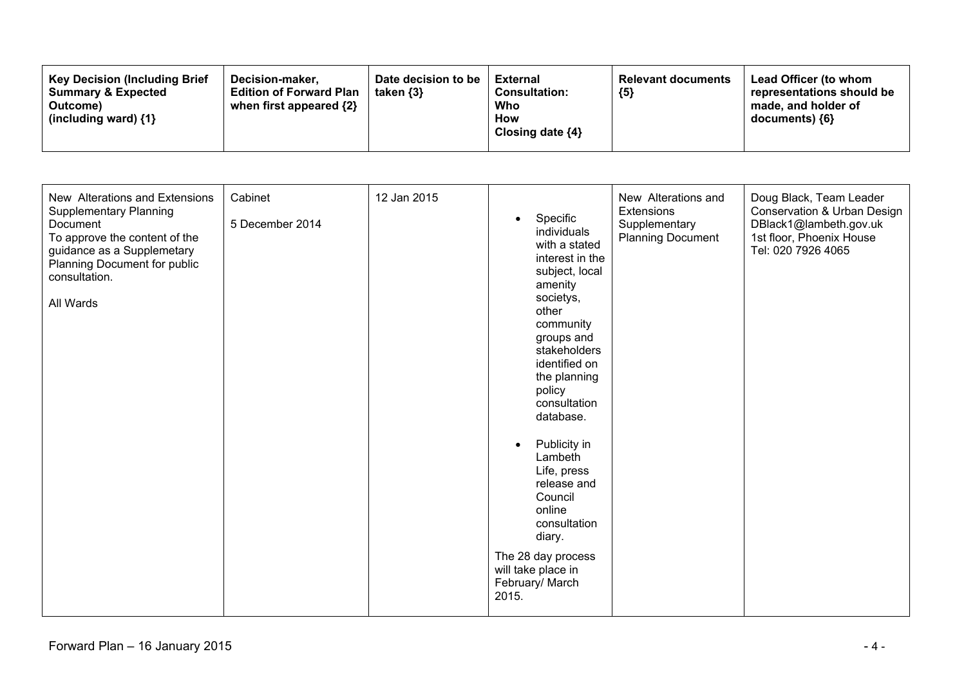| New Alterations and Extensions<br><b>Supplementary Planning</b><br>Document<br>To approve the content of the<br>guidance as a Supplemetary<br>Planning Document for public<br>consultation.<br>All Wards | Cabinet<br>5 December 2014 | 12 Jan 2015 | Specific<br>$\bullet$<br>individuals<br>with a stated<br>interest in the<br>subject, local<br>amenity<br>societys,<br>other<br>community<br>groups and<br>stakeholders<br>identified on<br>the planning<br>policy<br>consultation<br>database.<br>Publicity in<br>$\bullet$<br>Lambeth<br>Life, press<br>release and<br>Council<br>online<br>consultation<br>diary.<br>The 28 day process<br>will take place in<br>February/ March<br>2015. | New Alterations and<br>Extensions<br>Supplementary<br><b>Planning Document</b> | Doug Black, Team Leader<br>Conservation & Urban Design<br>DBlack1@lambeth.gov.uk<br>1st floor, Phoenix House<br>Tel: 020 7926 4065 |
|----------------------------------------------------------------------------------------------------------------------------------------------------------------------------------------------------------|----------------------------|-------------|---------------------------------------------------------------------------------------------------------------------------------------------------------------------------------------------------------------------------------------------------------------------------------------------------------------------------------------------------------------------------------------------------------------------------------------------|--------------------------------------------------------------------------------|------------------------------------------------------------------------------------------------------------------------------------|
|----------------------------------------------------------------------------------------------------------------------------------------------------------------------------------------------------------|----------------------------|-------------|---------------------------------------------------------------------------------------------------------------------------------------------------------------------------------------------------------------------------------------------------------------------------------------------------------------------------------------------------------------------------------------------------------------------------------------------|--------------------------------------------------------------------------------|------------------------------------------------------------------------------------------------------------------------------------|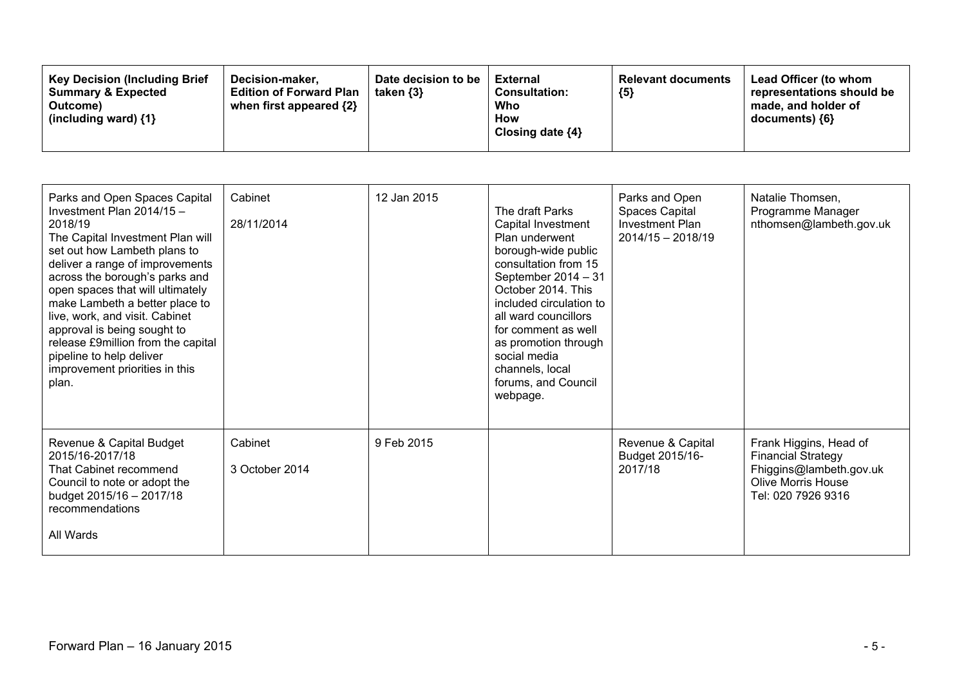| <b>Key Decision (Including Brief</b><br>Decision-maker.<br><b>Summary &amp; Expected</b><br><b>Edition of Forward Plan</b><br>when first appeared $\{2\}$<br>Outcome)<br>(including ward) $\{1\}$ | Date decision to be<br>taken {3} | <b>External</b><br><b>Consultation:</b><br>Who<br><b>How</b><br>Closing date $\{4\}$ | <b>Relevant documents</b><br>${5}$ | Lead Officer (to whom<br>representations should be<br>made, and holder of<br>documents) {6} |
|---------------------------------------------------------------------------------------------------------------------------------------------------------------------------------------------------|----------------------------------|--------------------------------------------------------------------------------------|------------------------------------|---------------------------------------------------------------------------------------------|
|---------------------------------------------------------------------------------------------------------------------------------------------------------------------------------------------------|----------------------------------|--------------------------------------------------------------------------------------|------------------------------------|---------------------------------------------------------------------------------------------|

| Parks and Open Spaces Capital<br>Investment Plan 2014/15 -<br>2018/19<br>The Capital Investment Plan will<br>set out how Lambeth plans to<br>deliver a range of improvements<br>across the borough's parks and<br>open spaces that will ultimately<br>make Lambeth a better place to<br>live, work, and visit. Cabinet<br>approval is being sought to<br>release £9million from the capital<br>pipeline to help deliver<br>improvement priorities in this<br>plan. | Cabinet<br>28/11/2014     | 12 Jan 2015 | The draft Parks<br>Capital Investment<br>Plan underwent<br>borough-wide public<br>consultation from 15<br>September 2014 - 31<br>October 2014. This<br>included circulation to<br>all ward councillors<br>for comment as well<br>as promotion through<br>social media<br>channels, local<br>forums, and Council<br>webpage. | Parks and Open<br>Spaces Capital<br><b>Investment Plan</b><br>$2014/15 - 2018/19$ | Natalie Thomsen,<br>Programme Manager<br>nthomsen@lambeth.gov.uk                                                                  |
|--------------------------------------------------------------------------------------------------------------------------------------------------------------------------------------------------------------------------------------------------------------------------------------------------------------------------------------------------------------------------------------------------------------------------------------------------------------------|---------------------------|-------------|-----------------------------------------------------------------------------------------------------------------------------------------------------------------------------------------------------------------------------------------------------------------------------------------------------------------------------|-----------------------------------------------------------------------------------|-----------------------------------------------------------------------------------------------------------------------------------|
| Revenue & Capital Budget<br>2015/16-2017/18<br>That Cabinet recommend<br>Council to note or adopt the<br>budget 2015/16 - 2017/18<br>recommendations<br>All Wards                                                                                                                                                                                                                                                                                                  | Cabinet<br>3 October 2014 | 9 Feb 2015  |                                                                                                                                                                                                                                                                                                                             | Revenue & Capital<br>Budget 2015/16-<br>2017/18                                   | Frank Higgins, Head of<br><b>Financial Strategy</b><br>Fhiggins@lambeth.gov.uk<br><b>Olive Morris House</b><br>Tel: 020 7926 9316 |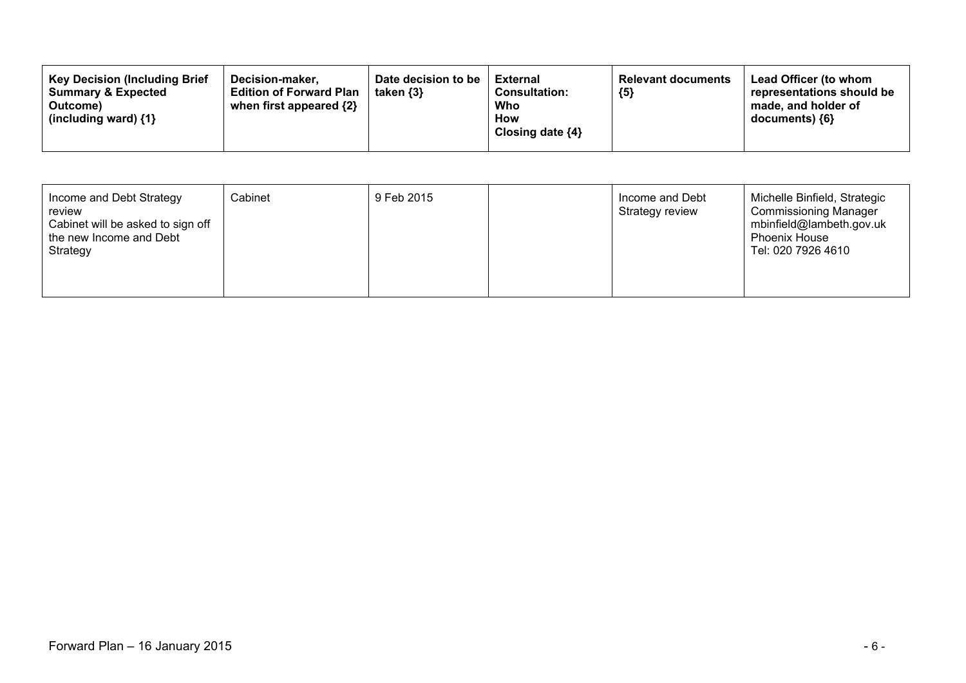| <b>Key Decision (Including Brief</b><br>Date decision to be<br>Decision-maker.<br><b>Summary &amp; Expected</b><br><b>Edition of Forward Plan</b><br>taken $\{3\}$<br>when first appeared $\{2\}$<br>Outcome)<br>(including ward) $\{1\}$ | External<br><b>Consultation:</b><br>Who<br><b>How</b><br>Closing date $\{4\}$ | <b>Relevant documents</b><br>${5}$ | <b>Lead Officer (to whom</b><br>representations should be<br>made, and holder of<br>documents) {6} |
|-------------------------------------------------------------------------------------------------------------------------------------------------------------------------------------------------------------------------------------------|-------------------------------------------------------------------------------|------------------------------------|----------------------------------------------------------------------------------------------------|
|-------------------------------------------------------------------------------------------------------------------------------------------------------------------------------------------------------------------------------------------|-------------------------------------------------------------------------------|------------------------------------|----------------------------------------------------------------------------------------------------|

| Income and Debt Strategy<br>review<br>Cabinet will be asked to sign off<br>the new Income and Debt<br>Strategy | Cabinet | 9 Feb 2015 |  | Income and Debt<br>Strategy review | Michelle Binfield, Strategic<br><b>Commissioning Manager</b><br>mbinfield@lambeth.gov.uk<br><b>Phoenix House</b><br>Tel: 020 7926 4610 |
|----------------------------------------------------------------------------------------------------------------|---------|------------|--|------------------------------------|----------------------------------------------------------------------------------------------------------------------------------------|
|----------------------------------------------------------------------------------------------------------------|---------|------------|--|------------------------------------|----------------------------------------------------------------------------------------------------------------------------------------|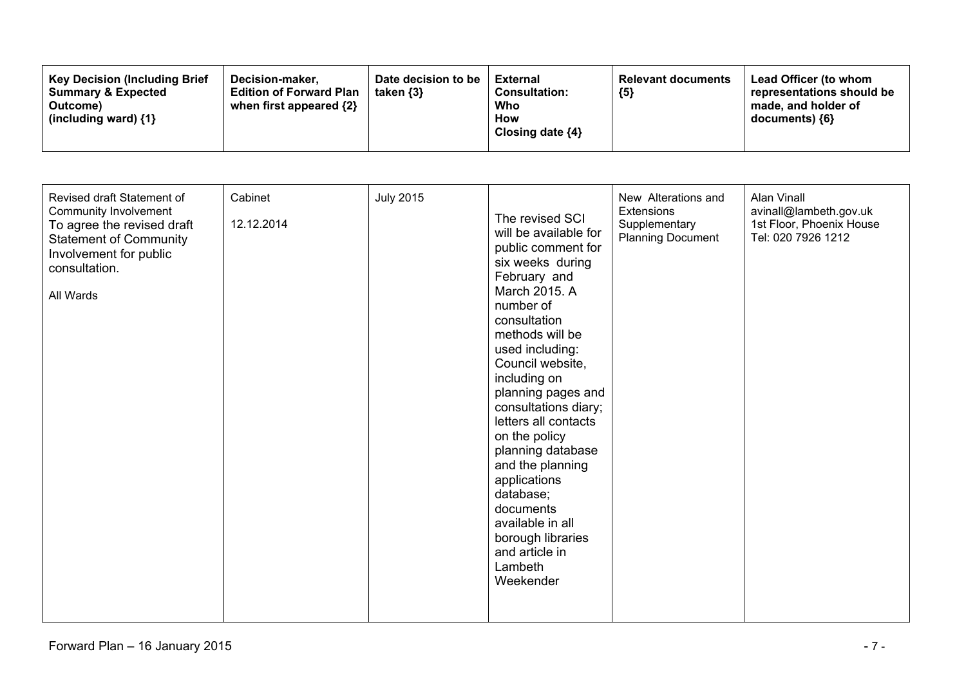| Revised draft Statement of<br><b>Community Involvement</b><br>To agree the revised draft<br><b>Statement of Community</b><br>Involvement for public<br>consultation.<br>All Wards | Cabinet<br>12.12.2014 | <b>July 2015</b> | The revised SCI<br>will be available for<br>public comment for<br>six weeks during<br>February and<br>March 2015. A<br>number of<br>consultation<br>methods will be<br>used including:<br>Council website,<br>including on<br>planning pages and<br>consultations diary;<br>letters all contacts<br>on the policy<br>planning database<br>and the planning<br>applications<br>database;<br>documents<br>available in all<br>borough libraries<br>and article in<br>Lambeth<br>Weekender | New Alterations and<br><b>Extensions</b><br>Supplementary<br><b>Planning Document</b> | Alan Vinall<br>avinall@lambeth.gov.uk<br>1st Floor, Phoenix House<br>Tel: 020 7926 1212 |
|-----------------------------------------------------------------------------------------------------------------------------------------------------------------------------------|-----------------------|------------------|-----------------------------------------------------------------------------------------------------------------------------------------------------------------------------------------------------------------------------------------------------------------------------------------------------------------------------------------------------------------------------------------------------------------------------------------------------------------------------------------|---------------------------------------------------------------------------------------|-----------------------------------------------------------------------------------------|
|-----------------------------------------------------------------------------------------------------------------------------------------------------------------------------------|-----------------------|------------------|-----------------------------------------------------------------------------------------------------------------------------------------------------------------------------------------------------------------------------------------------------------------------------------------------------------------------------------------------------------------------------------------------------------------------------------------------------------------------------------------|---------------------------------------------------------------------------------------|-----------------------------------------------------------------------------------------|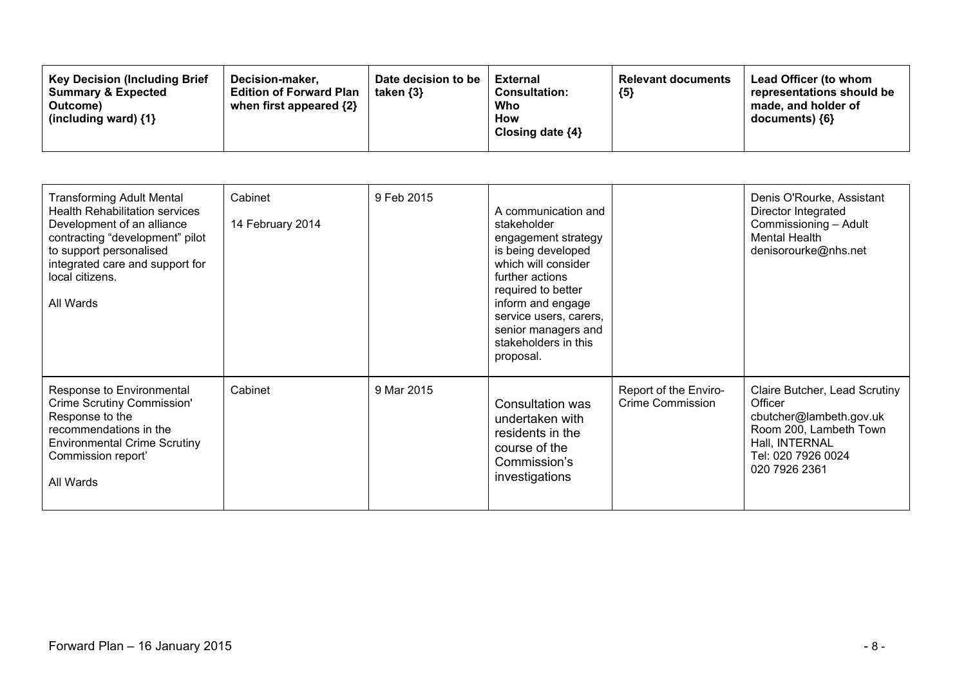| <b>Key Decision (Including Brief</b><br><b>Summary &amp; Expected</b><br>Outcome)<br>(including ward) $\{1\}$ | Decision-maker.<br><b>Edition of Forward Plan</b><br>when first appeared {2} | Date decision to be<br>taken $\{3\}$ | <b>External</b><br><b>Consultation:</b><br>Who<br>How<br>Closing date $\{4\}$ | <b>Relevant documents</b><br>${5}$ | Lead Officer (to whom<br>representations should be<br>made, and holder of<br>documents) {6} |
|---------------------------------------------------------------------------------------------------------------|------------------------------------------------------------------------------|--------------------------------------|-------------------------------------------------------------------------------|------------------------------------|---------------------------------------------------------------------------------------------|
|---------------------------------------------------------------------------------------------------------------|------------------------------------------------------------------------------|--------------------------------------|-------------------------------------------------------------------------------|------------------------------------|---------------------------------------------------------------------------------------------|

| <b>Transforming Adult Mental</b><br><b>Health Rehabilitation services</b><br>Development of an alliance<br>contracting "development" pilot<br>to support personalised<br>integrated care and support for<br>local citizens.<br>All Wards | Cabinet<br>14 February 2014 | 9 Feb 2015 | A communication and<br>stakeholder<br>engagement strategy<br>is being developed<br>which will consider<br>further actions<br>required to better<br>inform and engage<br>service users, carers,<br>senior managers and<br>stakeholders in this<br>proposal. |                                                  | Denis O'Rourke, Assistant<br>Director Integrated<br>Commissioning - Adult<br><b>Mental Health</b><br>denisorourke@nhs.net                              |
|------------------------------------------------------------------------------------------------------------------------------------------------------------------------------------------------------------------------------------------|-----------------------------|------------|------------------------------------------------------------------------------------------------------------------------------------------------------------------------------------------------------------------------------------------------------------|--------------------------------------------------|--------------------------------------------------------------------------------------------------------------------------------------------------------|
| Response to Environmental<br>Crime Scrutiny Commission'<br>Response to the<br>recommendations in the<br><b>Environmental Crime Scrutiny</b><br>Commission report'<br>All Wards                                                           | Cabinet                     | 9 Mar 2015 | Consultation was<br>undertaken with<br>residents in the<br>course of the<br>Commission's<br>investigations                                                                                                                                                 | Report of the Enviro-<br><b>Crime Commission</b> | Claire Butcher, Lead Scrutiny<br>Officer<br>cbutcher@lambeth.gov.uk<br>Room 200, Lambeth Town<br>Hall, INTERNAL<br>Tel: 020 7926 0024<br>020 7926 2361 |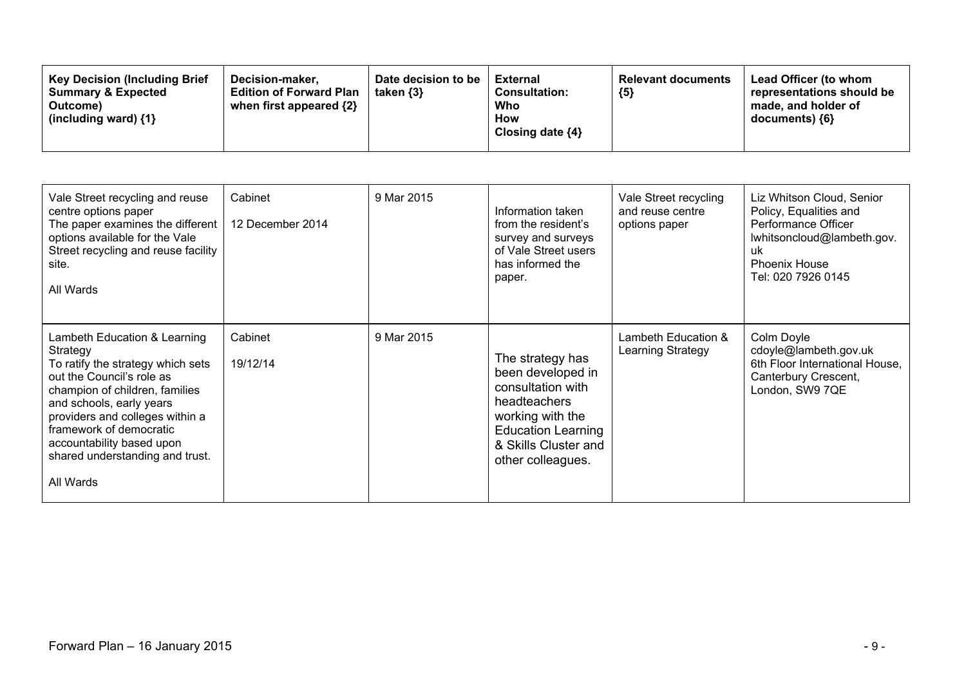| <b>Key Decision (Including Brief</b><br>Date decision to be<br>Decision-maker.<br><b>Summary &amp; Expected</b><br><b>Edition of Forward Plan</b><br>taken $\{3\}$<br>when first appeared $\{2\}$<br>Outcome)<br>(including ward) $\{1\}$ | External<br><b>Consultation:</b><br>Who<br><b>How</b><br>Closing date $\{4\}$ | <b>Relevant documents</b><br>${5}$ | <b>Lead Officer (to whom</b><br>representations should be<br>made, and holder of<br>documents) {6} |
|-------------------------------------------------------------------------------------------------------------------------------------------------------------------------------------------------------------------------------------------|-------------------------------------------------------------------------------|------------------------------------|----------------------------------------------------------------------------------------------------|
|-------------------------------------------------------------------------------------------------------------------------------------------------------------------------------------------------------------------------------------------|-------------------------------------------------------------------------------|------------------------------------|----------------------------------------------------------------------------------------------------|

| Vale Street recycling and reuse<br>centre options paper<br>The paper examines the different<br>options available for the Vale<br>Street recycling and reuse facility<br>site.<br>All Wards                                                                                                                          | Cabinet<br>12 December 2014 | 9 Mar 2015 | Information taken<br>from the resident's<br>survey and surveys<br>of Vale Street users<br>has informed the<br>paper.                                                     | Vale Street recycling<br>and reuse centre<br>options paper | Liz Whitson Cloud, Senior<br>Policy, Equalities and<br>Performance Officer<br>lwhitsoncloud@lambeth.gov.<br>uk.<br><b>Phoenix House</b><br>Tel: 020 7926 0145 |
|---------------------------------------------------------------------------------------------------------------------------------------------------------------------------------------------------------------------------------------------------------------------------------------------------------------------|-----------------------------|------------|--------------------------------------------------------------------------------------------------------------------------------------------------------------------------|------------------------------------------------------------|---------------------------------------------------------------------------------------------------------------------------------------------------------------|
| Lambeth Education & Learning<br>Strategy<br>To ratify the strategy which sets<br>out the Council's role as<br>champion of children, families<br>and schools, early years<br>providers and colleges within a<br>framework of democratic<br>accountability based upon<br>shared understanding and trust.<br>All Wards | Cabinet<br>19/12/14         | 9 Mar 2015 | The strategy has<br>been developed in<br>consultation with<br>headteachers<br>working with the<br><b>Education Learning</b><br>& Skills Cluster and<br>other colleagues. | Lambeth Education &<br>Learning Strategy                   | Colm Doyle<br>cdoyle@lambeth.gov.uk<br>6th Floor International House,<br>Canterbury Crescent,<br>London, SW9 7QE                                              |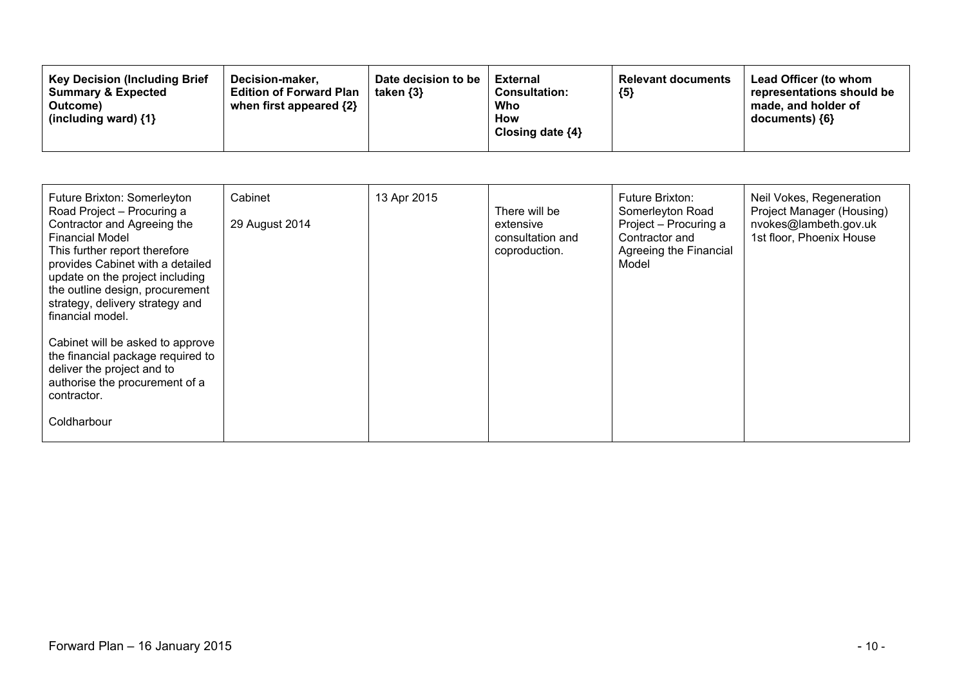| <b>Key Decision (Including Brief</b><br>Decision-maker.<br><b>Summary &amp; Expected</b><br>Outcome)<br>(including ward) $\{1\}$ | Date decision to be<br><b>Edition of Forward Plan</b><br>taken $\{3\}$<br>when first appeared {2} | External<br><b>Consultation:</b><br>Who<br>How<br>Closing date $\{4\}$ | <b>Relevant documents</b><br>${5}$ | Lead Officer (to whom<br>representations should be<br>made, and holder of<br>$documents)$ {6} |
|----------------------------------------------------------------------------------------------------------------------------------|---------------------------------------------------------------------------------------------------|------------------------------------------------------------------------|------------------------------------|-----------------------------------------------------------------------------------------------|
|----------------------------------------------------------------------------------------------------------------------------------|---------------------------------------------------------------------------------------------------|------------------------------------------------------------------------|------------------------------------|-----------------------------------------------------------------------------------------------|

| Future Brixton: Somerleyton<br>Road Project - Procuring a<br>Contractor and Agreeing the<br><b>Financial Model</b><br>This further report therefore<br>provides Cabinet with a detailed<br>update on the project including<br>the outline design, procurement<br>strategy, delivery strategy and<br>financial model. | Cabinet<br>29 August 2014 | 13 Apr 2015 | There will be<br>extensive<br>consultation and<br>coproduction. | Future Brixton:<br>Somerleyton Road<br>Project - Procuring a<br>Contractor and<br>Agreeing the Financial<br>Model | Neil Vokes, Regeneration<br>Project Manager (Housing)<br>nvokes@lambeth.gov.uk<br>1st floor, Phoenix House |
|----------------------------------------------------------------------------------------------------------------------------------------------------------------------------------------------------------------------------------------------------------------------------------------------------------------------|---------------------------|-------------|-----------------------------------------------------------------|-------------------------------------------------------------------------------------------------------------------|------------------------------------------------------------------------------------------------------------|
| Cabinet will be asked to approve<br>the financial package required to<br>deliver the project and to<br>authorise the procurement of a<br>contractor.<br>Coldharbour                                                                                                                                                  |                           |             |                                                                 |                                                                                                                   |                                                                                                            |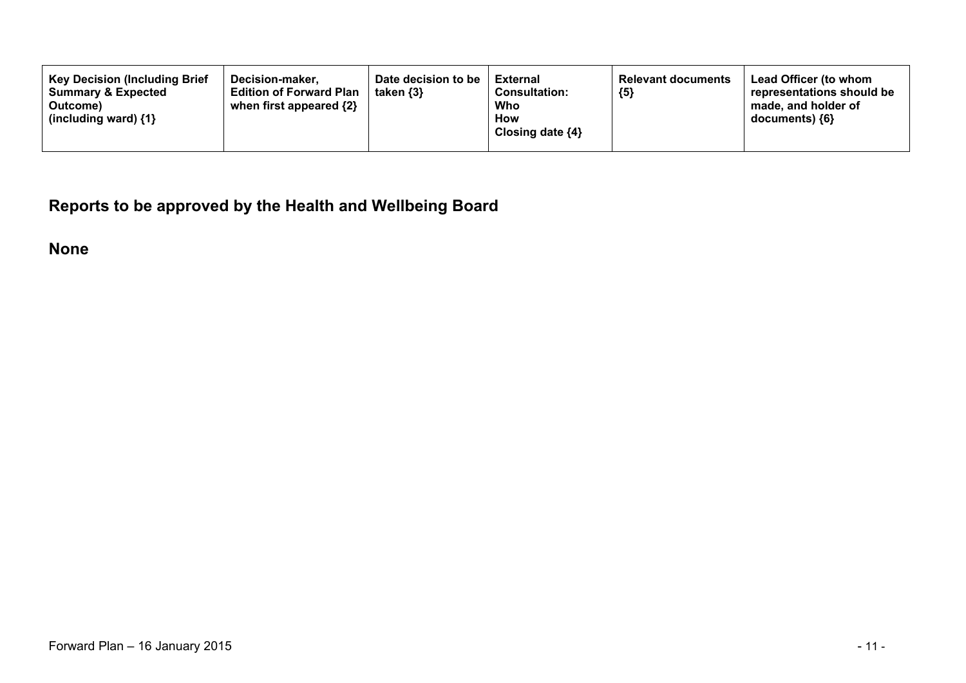**Reports to be approved by the Health and Wellbeing Board**

**None**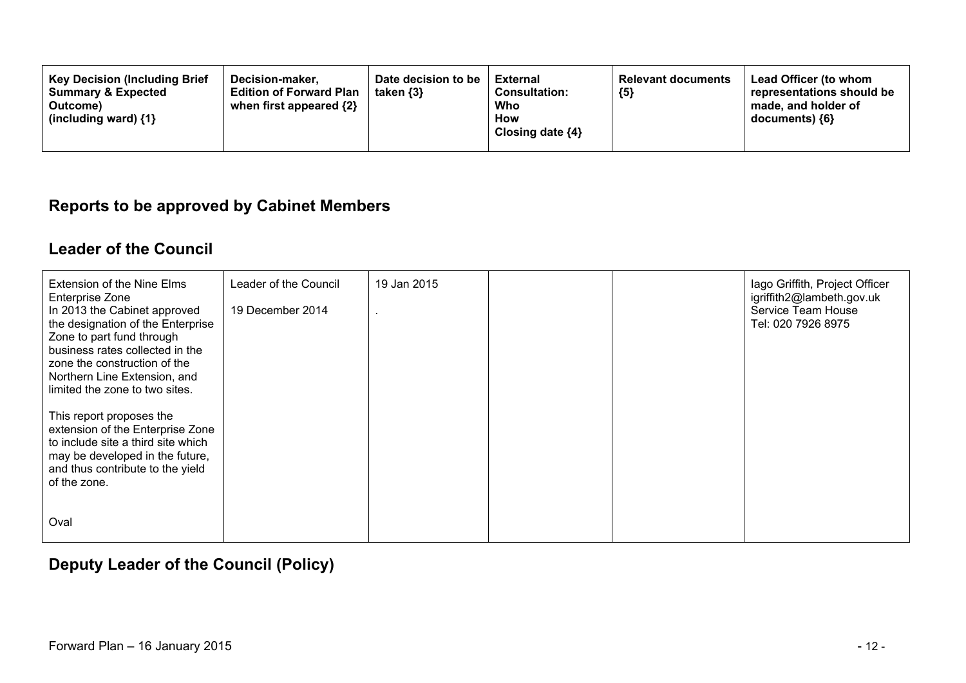| <b>Key Decision (Including Brief</b><br>Decision-maker.<br><b>Summary &amp; Expected</b><br><b>Edition of Forward Plan</b><br>when first appeared {2}<br>Outcome)<br>(including ward) $\{1\}$ | Date decision to be<br>taken $\{3\}$ | External<br><b>Consultation:</b><br>Who<br><b>How</b><br>Closing date ${4}$ | <b>Relevant documents</b><br>${5}$ | Lead Officer (to whom<br>representations should be<br>made, and holder of<br>documents) ${6}$ |
|-----------------------------------------------------------------------------------------------------------------------------------------------------------------------------------------------|--------------------------------------|-----------------------------------------------------------------------------|------------------------------------|-----------------------------------------------------------------------------------------------|
|-----------------------------------------------------------------------------------------------------------------------------------------------------------------------------------------------|--------------------------------------|-----------------------------------------------------------------------------|------------------------------------|-----------------------------------------------------------------------------------------------|

#### **Reports to be approved by Cabinet Members**

#### **Leader of the Council**

| Extension of the Nine Elms<br>Enterprise Zone<br>In 2013 the Cabinet approved<br>the designation of the Enterprise<br>Zone to part fund through<br>business rates collected in the<br>zone the construction of the<br>Northern Line Extension, and<br>limited the zone to two sites. | Leader of the Council<br>19 December 2014 | 19 Jan 2015 |  | lago Griffith, Project Officer<br>igriffith2@lambeth.gov.uk<br>Service Team House<br>Tel: 020 7926 8975 |
|--------------------------------------------------------------------------------------------------------------------------------------------------------------------------------------------------------------------------------------------------------------------------------------|-------------------------------------------|-------------|--|---------------------------------------------------------------------------------------------------------|
| This report proposes the<br>extension of the Enterprise Zone<br>to include site a third site which<br>may be developed in the future,<br>and thus contribute to the yield<br>of the zone.                                                                                            |                                           |             |  |                                                                                                         |
| Oval                                                                                                                                                                                                                                                                                 |                                           |             |  |                                                                                                         |

### **Deputy Leader of the Council (Policy)**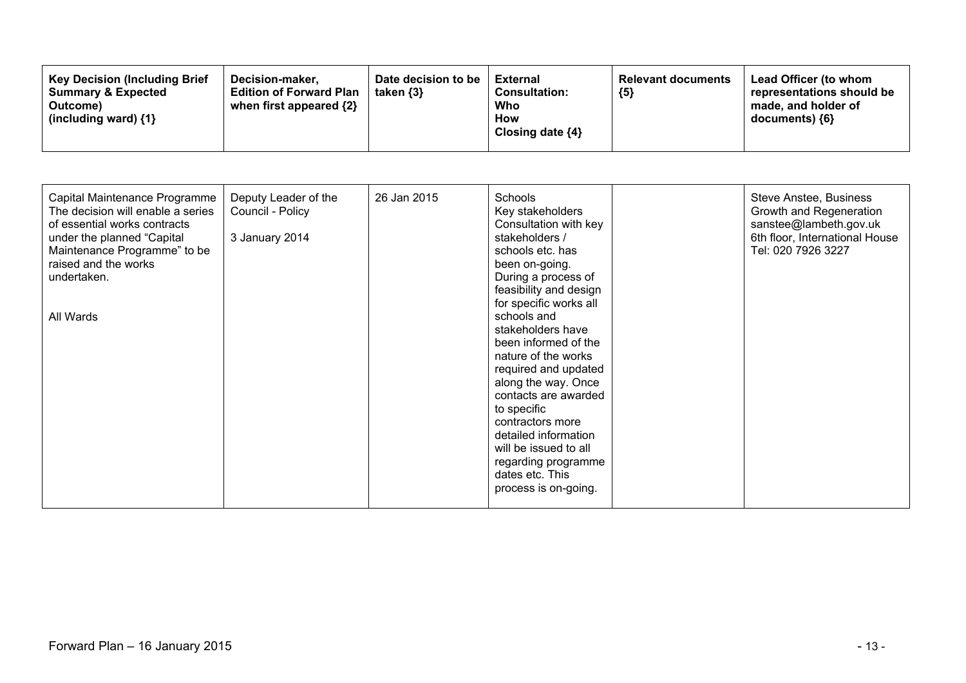| <b>Key Decision (Including Brief)</b><br>Decision-maker,<br>Summary & Expected<br><b>Edition of Forward Plan</b><br>when first appeared {2}<br>Outcome)<br>(including ward) $\{1\}$ | Date decision to be<br>taken $\{3\}$ | <b>External</b><br><b>Consultation:</b><br>Who<br>How<br>Closing date ${4}$ | <b>Relevant documents</b><br>${5}$ | Lead Officer (to whom<br>representations should be<br>made, and holder of<br>documents) ${6}$ |
|-------------------------------------------------------------------------------------------------------------------------------------------------------------------------------------|--------------------------------------|-----------------------------------------------------------------------------|------------------------------------|-----------------------------------------------------------------------------------------------|
|-------------------------------------------------------------------------------------------------------------------------------------------------------------------------------------|--------------------------------------|-----------------------------------------------------------------------------|------------------------------------|-----------------------------------------------------------------------------------------------|

| Capital Maintenance Programme<br>The decision will enable a series<br>of essential works contracts<br>under the planned "Capital"<br>Maintenance Programme" to be<br>raised and the works<br>undertaken.<br>All Wards | Deputy Leader of the<br>Council - Policy<br>3 January 2014 | 26 Jan 2015 | Schools<br>Key stakeholders<br>Consultation with key<br>stakeholders /<br>schools etc. has<br>been on-going.<br>During a process of<br>feasibility and design<br>for specific works all<br>schools and<br>stakeholders have<br>been informed of the<br>nature of the works<br>required and updated<br>along the way. Once<br>contacts are awarded<br>to specific<br>contractors more<br>detailed information<br>will be issued to all<br>regarding programme<br>dates etc. This<br>process is on-going. |  | Steve Anstee, Business<br>Growth and Regeneration<br>sanstee@lambeth.gov.uk<br>6th floor, International House<br>Tel: 020 7926 3227 |
|-----------------------------------------------------------------------------------------------------------------------------------------------------------------------------------------------------------------------|------------------------------------------------------------|-------------|---------------------------------------------------------------------------------------------------------------------------------------------------------------------------------------------------------------------------------------------------------------------------------------------------------------------------------------------------------------------------------------------------------------------------------------------------------------------------------------------------------|--|-------------------------------------------------------------------------------------------------------------------------------------|
|-----------------------------------------------------------------------------------------------------------------------------------------------------------------------------------------------------------------------|------------------------------------------------------------|-------------|---------------------------------------------------------------------------------------------------------------------------------------------------------------------------------------------------------------------------------------------------------------------------------------------------------------------------------------------------------------------------------------------------------------------------------------------------------------------------------------------------------|--|-------------------------------------------------------------------------------------------------------------------------------------|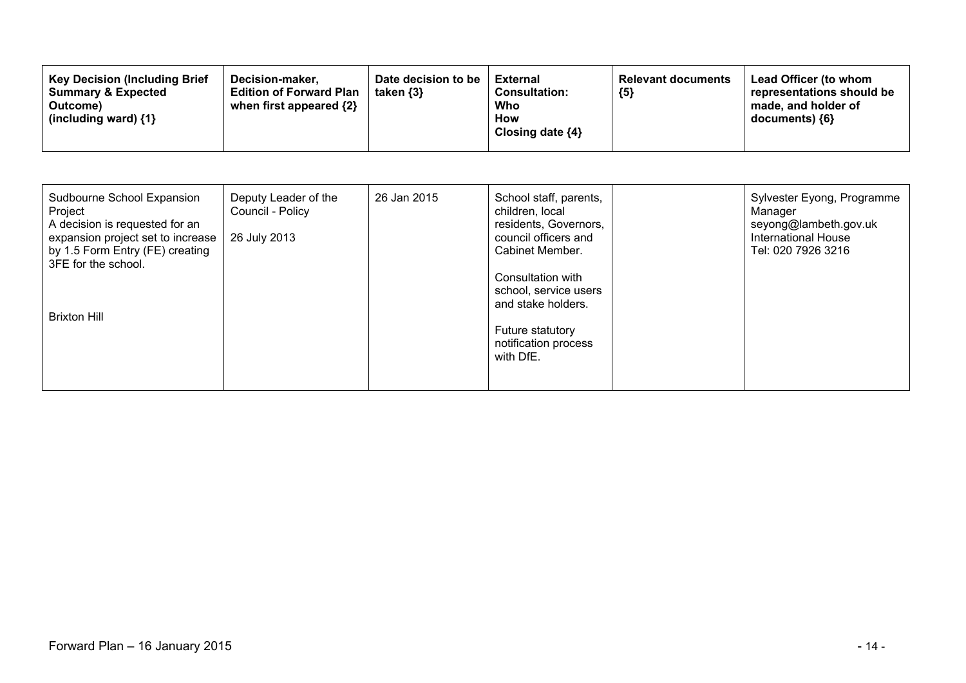| Sudbourne School Expansion<br>Project<br>A decision is requested for an<br>expansion project set to increase<br>by 1.5 Form Entry (FE) creating<br>3FE for the school. | Deputy Leader of the<br>Council - Policy<br>26 July 2013 | 26 Jan 2015 | School staff, parents,<br>children, local<br>residents, Governors,<br>council officers and<br>Cabinet Member.<br>Consultation with<br>school, service users | Sylvester Eyong, Programme<br>Manager<br>seyong@lambeth.gov.uk<br><b>International House</b><br>Tel: 020 7926 3216 |
|------------------------------------------------------------------------------------------------------------------------------------------------------------------------|----------------------------------------------------------|-------------|-------------------------------------------------------------------------------------------------------------------------------------------------------------|--------------------------------------------------------------------------------------------------------------------|
| <b>Brixton Hill</b>                                                                                                                                                    |                                                          |             | and stake holders.<br><b>Future statutory</b><br>notification process<br>with DfE.                                                                          |                                                                                                                    |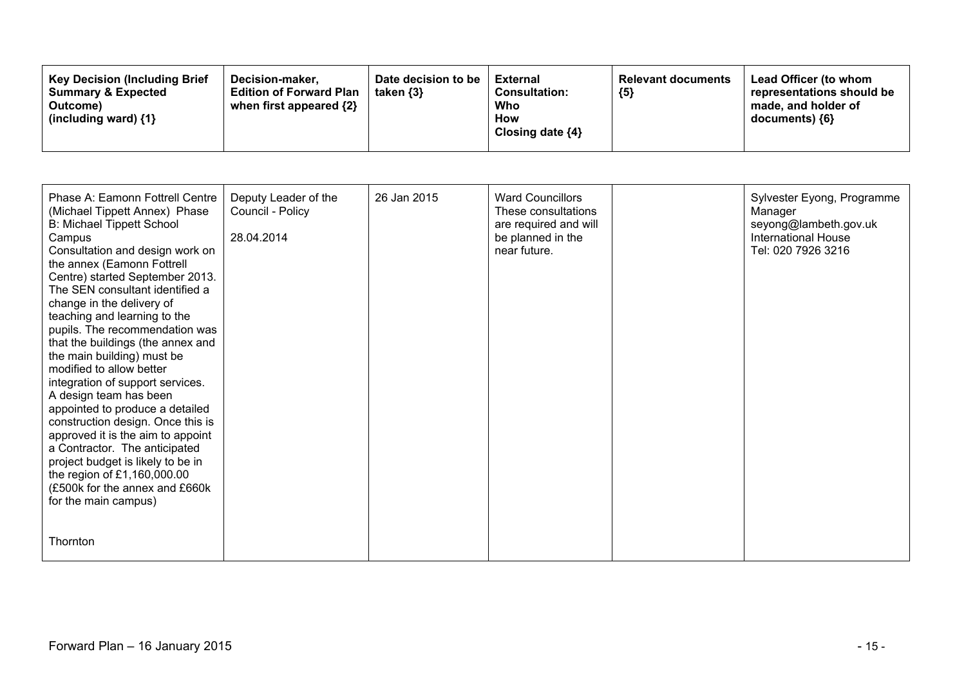| <b>Key Decision (Including Brief)</b><br>Decision-maker,<br><b>Summary &amp; Expected</b><br><b>Edition of Forward Plan</b><br>when first appeared $\{2\}$<br>Outcome)<br>(including ward) {1} | Date decision to be<br>taken $\{3\}$ | External<br><b>Consultation:</b><br>Who<br>How<br>Closing date ${4}$ | <b>Relevant documents</b><br>${5}$ | Lead Officer (to whom<br>representations should be<br>made, and holder of<br>documents) ${6}$ |
|------------------------------------------------------------------------------------------------------------------------------------------------------------------------------------------------|--------------------------------------|----------------------------------------------------------------------|------------------------------------|-----------------------------------------------------------------------------------------------|
|------------------------------------------------------------------------------------------------------------------------------------------------------------------------------------------------|--------------------------------------|----------------------------------------------------------------------|------------------------------------|-----------------------------------------------------------------------------------------------|

| Phase A: Eamonn Fottrell Centre<br>(Michael Tippett Annex) Phase<br>B: Michael Tippett School<br>Campus<br>Consultation and design work on<br>the annex (Eamonn Fottrell<br>Centre) started September 2013.<br>The SEN consultant identified a<br>change in the delivery of<br>teaching and learning to the<br>pupils. The recommendation was<br>that the buildings (the annex and<br>the main building) must be<br>modified to allow better<br>integration of support services.<br>A design team has been<br>appointed to produce a detailed<br>construction design. Once this is<br>approved it is the aim to appoint<br>a Contractor. The anticipated<br>project budget is likely to be in<br>the region of £1,160,000.00<br>(£500k for the annex and £660k<br>for the main campus) | Deputy Leader of the<br>Council - Policy<br>28.04.2014 | 26 Jan 2015 | <b>Ward Councillors</b><br>These consultations<br>are required and will<br>be planned in the<br>near future. | Sylvester Eyong, Programme<br>Manager<br>seyong@lambeth.gov.uk<br><b>International House</b><br>Tel: 020 7926 3216 |
|----------------------------------------------------------------------------------------------------------------------------------------------------------------------------------------------------------------------------------------------------------------------------------------------------------------------------------------------------------------------------------------------------------------------------------------------------------------------------------------------------------------------------------------------------------------------------------------------------------------------------------------------------------------------------------------------------------------------------------------------------------------------------------------|--------------------------------------------------------|-------------|--------------------------------------------------------------------------------------------------------------|--------------------------------------------------------------------------------------------------------------------|
| Thornton                                                                                                                                                                                                                                                                                                                                                                                                                                                                                                                                                                                                                                                                                                                                                                               |                                                        |             |                                                                                                              |                                                                                                                    |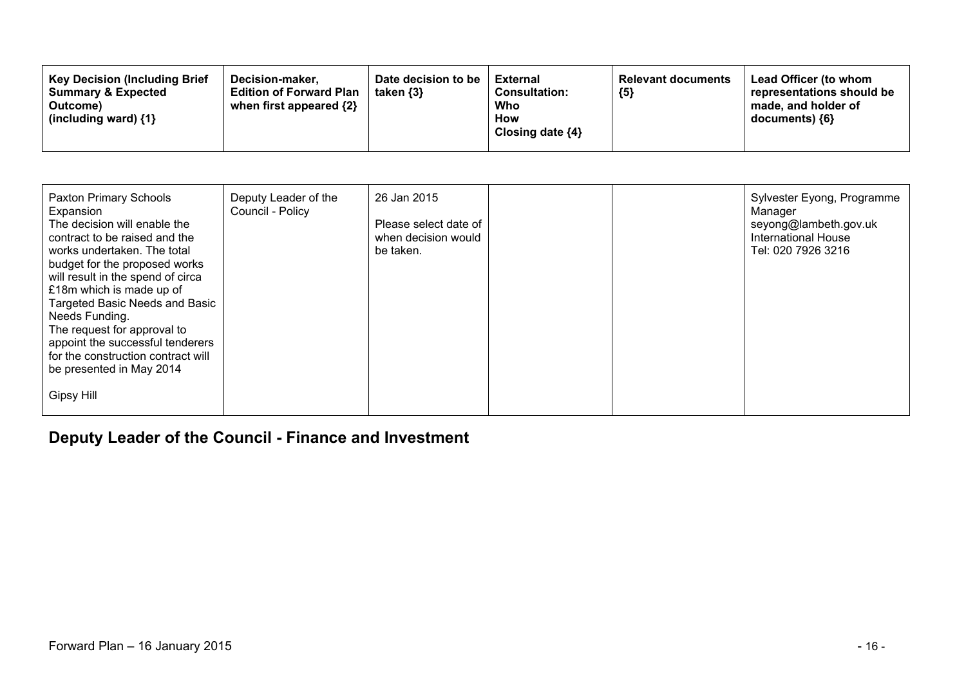| <b>Key Decision (Including Brief</b><br>Date decision to be<br>Decision-maker.<br><b>Edition of Forward Plan</b><br><b>Summary &amp; Expected</b><br>taken $\{3\}$<br>when first appeared {2}<br>Outcome)<br>(including ward) $\{1\}$ | <b>External</b><br>${5}$<br><b>Consultation:</b><br>Who<br><b>How</b><br>Closing date $\{4\}$ | Lead Officer (to whom<br><b>Relevant documents</b><br>representations should be<br>made, and holder of<br>$documents)$ {6} |
|---------------------------------------------------------------------------------------------------------------------------------------------------------------------------------------------------------------------------------------|-----------------------------------------------------------------------------------------------|----------------------------------------------------------------------------------------------------------------------------|
|---------------------------------------------------------------------------------------------------------------------------------------------------------------------------------------------------------------------------------------|-----------------------------------------------------------------------------------------------|----------------------------------------------------------------------------------------------------------------------------|

| Paxton Primary Schools<br>Expansion<br>The decision will enable the<br>contract to be raised and the<br>works undertaken. The total<br>budget for the proposed works<br>will result in the spend of circa<br>£18m which is made up of<br>Targeted Basic Needs and Basic<br>Needs Funding.<br>The request for approval to<br>appoint the successful tenderers<br>for the construction contract will<br>be presented in May 2014 | Deputy Leader of the<br>Council - Policy | 26 Jan 2015<br>Please select date of<br>when decision would<br>be taken. |  | Sylvester Eyong, Programme<br>Manager<br>seyong@lambeth.gov.uk<br><b>International House</b><br>Tel: 020 7926 3216 |
|--------------------------------------------------------------------------------------------------------------------------------------------------------------------------------------------------------------------------------------------------------------------------------------------------------------------------------------------------------------------------------------------------------------------------------|------------------------------------------|--------------------------------------------------------------------------|--|--------------------------------------------------------------------------------------------------------------------|
| <b>Gipsy Hill</b>                                                                                                                                                                                                                                                                                                                                                                                                              |                                          |                                                                          |  |                                                                                                                    |

### **Deputy Leader of the Council - Finance and Investment**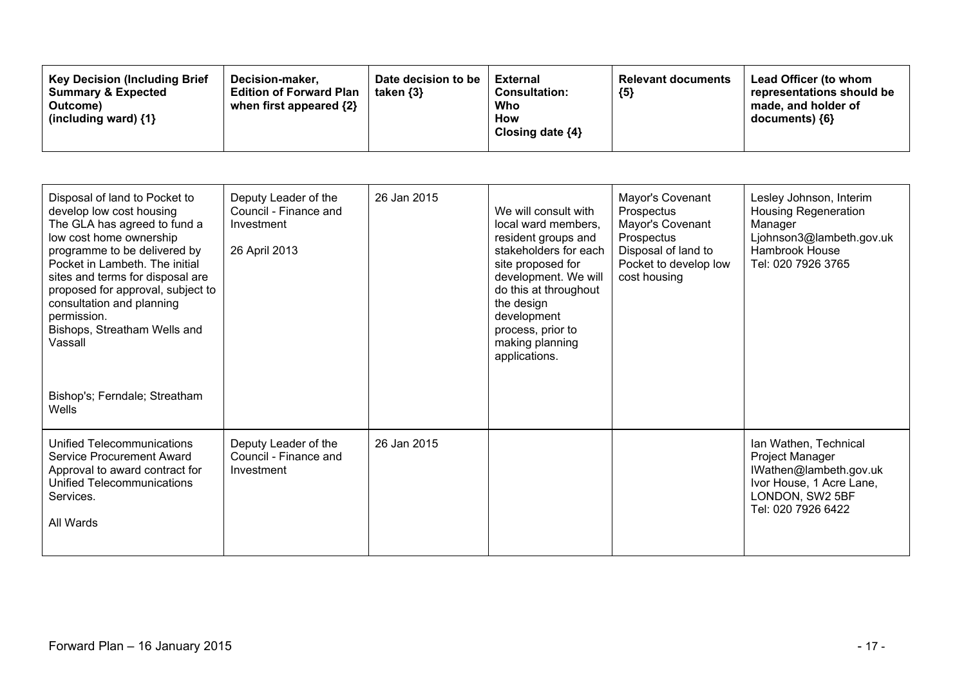| <b>Key Decision (Including Brief</b><br>Date decision to be<br>Decision-maker,<br><b>Summary &amp; Expected</b><br><b>Edition of Forward Plan</b><br>taken $\{3\}$<br>when first appeared {2}<br>Outcome)<br>(including ward) $\{1\}$ | <b>Relevant documents</b><br>External<br><b>Consultation:</b><br>${5}$<br>Who<br>How<br>Closing date $\{4\}$ | Lead Officer (to whom<br>representations should be<br>made, and holder of<br>documents) ${6}$ |
|---------------------------------------------------------------------------------------------------------------------------------------------------------------------------------------------------------------------------------------|--------------------------------------------------------------------------------------------------------------|-----------------------------------------------------------------------------------------------|
|---------------------------------------------------------------------------------------------------------------------------------------------------------------------------------------------------------------------------------------|--------------------------------------------------------------------------------------------------------------|-----------------------------------------------------------------------------------------------|

| Disposal of land to Pocket to<br>develop low cost housing<br>The GLA has agreed to fund a<br>low cost home ownership<br>programme to be delivered by<br>Pocket in Lambeth. The initial<br>sites and terms for disposal are<br>proposed for approval, subject to<br>consultation and planning<br>permission.<br>Bishops, Streatham Wells and<br>Vassall | Deputy Leader of the<br>Council - Finance and<br>Investment<br>26 April 2013 | 26 Jan 2015 | We will consult with<br>local ward members,<br>resident groups and<br>stakeholders for each<br>site proposed for<br>development. We will<br>do this at throughout<br>the design<br>development<br>process, prior to<br>making planning<br>applications. | Mayor's Covenant<br>Prospectus<br>Mayor's Covenant<br>Prospectus<br>Disposal of land to<br>Pocket to develop low<br>cost housing | Lesley Johnson, Interim<br><b>Housing Regeneration</b><br>Manager<br>Ljohnson3@lambeth.gov.uk<br><b>Hambrook House</b><br>Tel: 020 7926 3765 |
|--------------------------------------------------------------------------------------------------------------------------------------------------------------------------------------------------------------------------------------------------------------------------------------------------------------------------------------------------------|------------------------------------------------------------------------------|-------------|---------------------------------------------------------------------------------------------------------------------------------------------------------------------------------------------------------------------------------------------------------|----------------------------------------------------------------------------------------------------------------------------------|----------------------------------------------------------------------------------------------------------------------------------------------|
| Bishop's; Ferndale; Streatham<br>Wells                                                                                                                                                                                                                                                                                                                 |                                                                              |             |                                                                                                                                                                                                                                                         |                                                                                                                                  |                                                                                                                                              |
| Unified Telecommunications<br>Service Procurement Award<br>Approval to award contract for<br>Unified Telecommunications<br>Services.<br>All Wards                                                                                                                                                                                                      | Deputy Leader of the<br>Council - Finance and<br>Investment                  | 26 Jan 2015 |                                                                                                                                                                                                                                                         |                                                                                                                                  | Ian Wathen, Technical<br>Project Manager<br>IWathen@lambeth.gov.uk<br>Ivor House, 1 Acre Lane,<br>LONDON, SW2 5BF<br>Tel: 020 7926 6422      |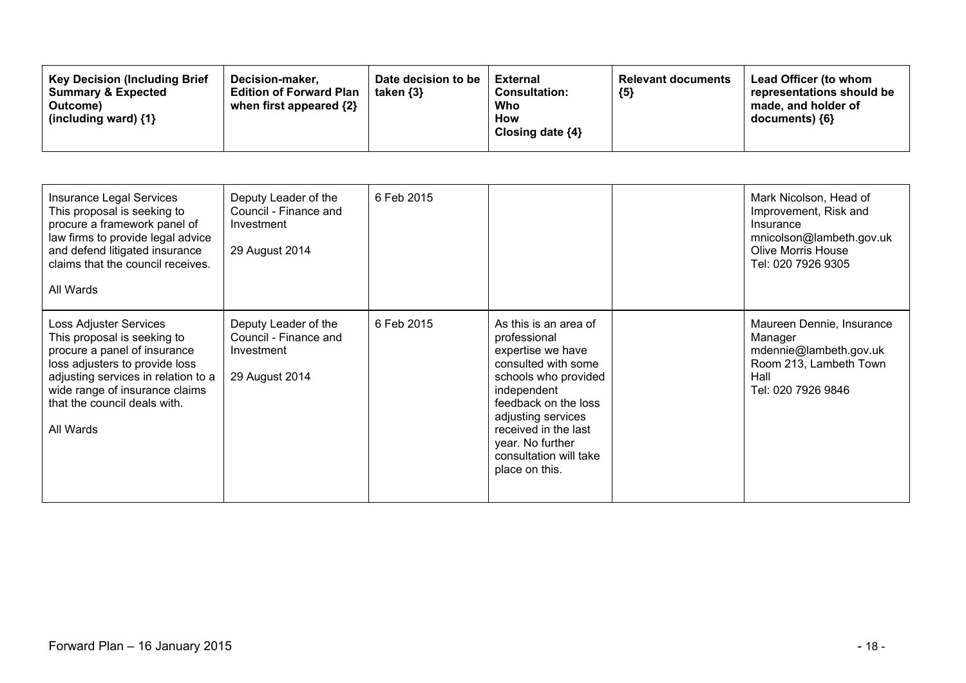| <b>Key Decision (Including Brief</b><br><b>Summary &amp; Expected</b><br>Outcome)<br>(including ward) $\{1\}$ | Decision-maker.<br><b>Edition of Forward Plan</b><br>when first appeared {2} | Date decision to be<br>taken $\{3\}$ | External<br><b>Consultation:</b><br>Who<br>How<br>Closing date $\{4\}$ | <b>Relevant documents</b><br>${5}$ | Lead Officer (to whom<br>representations should be<br>made, and holder of<br>$documents)$ {6} |
|---------------------------------------------------------------------------------------------------------------|------------------------------------------------------------------------------|--------------------------------------|------------------------------------------------------------------------|------------------------------------|-----------------------------------------------------------------------------------------------|
|---------------------------------------------------------------------------------------------------------------|------------------------------------------------------------------------------|--------------------------------------|------------------------------------------------------------------------|------------------------------------|-----------------------------------------------------------------------------------------------|

| Insurance Legal Services<br>This proposal is seeking to<br>procure a framework panel of<br>law firms to provide legal advice<br>and defend litigated insurance<br>claims that the council receives.<br>All Wards                              | Deputy Leader of the<br>Council - Finance and<br>Investment<br>29 August 2014 | 6 Feb 2015 |                                                                                                                                                                                                                                                                | Mark Nicolson, Head of<br>Improvement, Risk and<br>Insurance<br>mnicolson@lambeth.gov.uk<br><b>Olive Morris House</b><br>Tel: 020 7926 9305 |
|-----------------------------------------------------------------------------------------------------------------------------------------------------------------------------------------------------------------------------------------------|-------------------------------------------------------------------------------|------------|----------------------------------------------------------------------------------------------------------------------------------------------------------------------------------------------------------------------------------------------------------------|---------------------------------------------------------------------------------------------------------------------------------------------|
| Loss Adjuster Services<br>This proposal is seeking to<br>procure a panel of insurance<br>loss adjusters to provide loss<br>adjusting services in relation to a<br>wide range of insurance claims<br>that the council deals with.<br>All Wards | Deputy Leader of the<br>Council - Finance and<br>Investment<br>29 August 2014 | 6 Feb 2015 | As this is an area of<br>professional<br>expertise we have<br>consulted with some<br>schools who provided<br>independent<br>feedback on the loss<br>adjusting services<br>received in the last<br>year. No further<br>consultation will take<br>place on this. | Maureen Dennie, Insurance<br>Manager<br>mdennie@lambeth.gov.uk<br>Room 213, Lambeth Town<br>Hall<br>Tel: 020 7926 9846                      |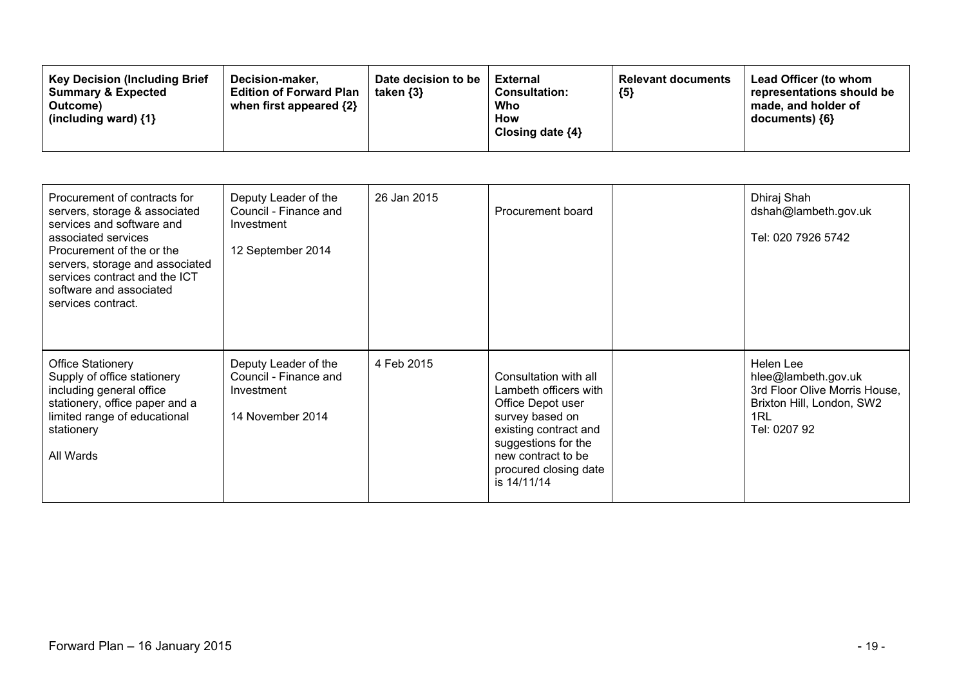| Procurement of contracts for<br>servers, storage & associated<br>services and software and<br>associated services<br>Procurement of the or the<br>servers, storage and associated<br>services contract and the ICT<br>software and associated<br>services contract. | Deputy Leader of the<br>Council - Finance and<br>Investment<br>12 September 2014 | 26 Jan 2015 | Procurement board                                                                                                                                                                                    | Dhiraj Shah<br>dshah@lambeth.gov.uk<br>Tel: 020 7926 5742                                                             |
|---------------------------------------------------------------------------------------------------------------------------------------------------------------------------------------------------------------------------------------------------------------------|----------------------------------------------------------------------------------|-------------|------------------------------------------------------------------------------------------------------------------------------------------------------------------------------------------------------|-----------------------------------------------------------------------------------------------------------------------|
| <b>Office Stationery</b><br>Supply of office stationery<br>including general office<br>stationery, office paper and a<br>limited range of educational<br>stationery<br>All Wards                                                                                    | Deputy Leader of the<br>Council - Finance and<br>Investment<br>14 November 2014  | 4 Feb 2015  | Consultation with all<br>Lambeth officers with<br>Office Depot user<br>survey based on<br>existing contract and<br>suggestions for the<br>new contract to be<br>procured closing date<br>is 14/11/14 | Helen Lee<br>hlee@lambeth.gov.uk<br>3rd Floor Olive Morris House,<br>Brixton Hill, London, SW2<br>1RL<br>Tel: 0207 92 |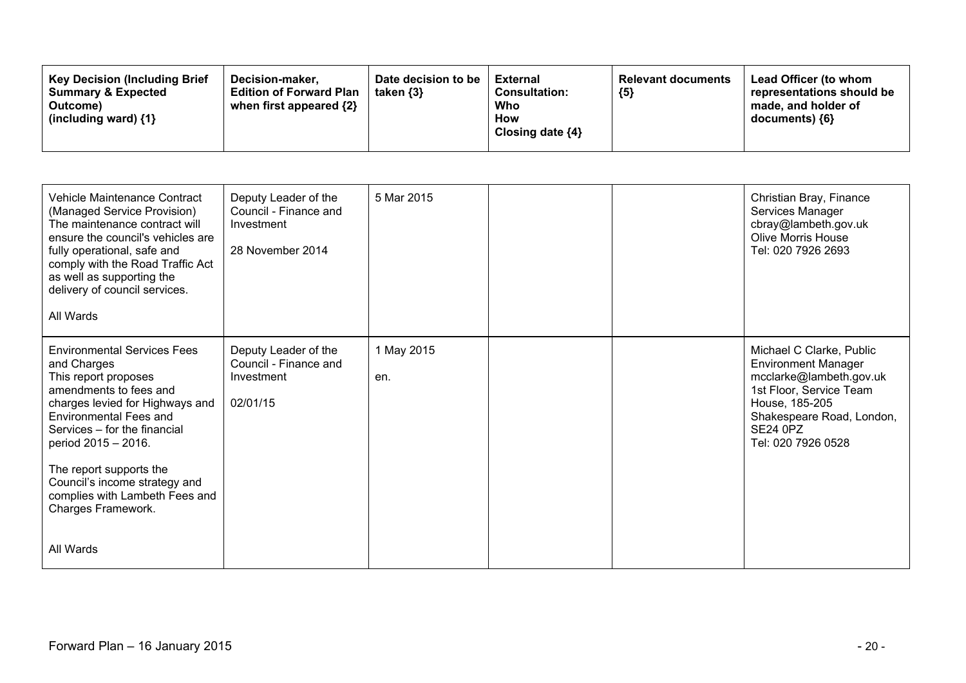| <b>Key Decision (Including Brief)</b><br>Decision-maker.<br><b>Summary &amp; Expected</b><br><b>Edition of Forward Plan</b><br>when first appeared {2}<br>Outcome)<br>(including ward) $\{1\}$ | Date decision to be<br>taken {3} | <b>External</b><br><b>Consultation:</b><br>Who<br><b>How</b><br>Closing date $\{4\}$ | <b>Relevant documents</b><br>${5}$ | Lead Officer (to whom<br>representations should be<br>made, and holder of<br>documents) {6} |
|------------------------------------------------------------------------------------------------------------------------------------------------------------------------------------------------|----------------------------------|--------------------------------------------------------------------------------------|------------------------------------|---------------------------------------------------------------------------------------------|
|------------------------------------------------------------------------------------------------------------------------------------------------------------------------------------------------|----------------------------------|--------------------------------------------------------------------------------------|------------------------------------|---------------------------------------------------------------------------------------------|

| <b>Vehicle Maintenance Contract</b><br>(Managed Service Provision)<br>The maintenance contract will<br>ensure the council's vehicles are<br>fully operational, safe and<br>comply with the Road Traffic Act<br>as well as supporting the<br>delivery of council services.<br>All Wards                                                                          | Deputy Leader of the<br>Council - Finance and<br>Investment<br>28 November 2014 | 5 Mar 2015        |  | Christian Bray, Finance<br>Services Manager<br>cbray@lambeth.gov.uk<br><b>Olive Morris House</b><br>Tel: 020 7926 2693                                                                               |
|-----------------------------------------------------------------------------------------------------------------------------------------------------------------------------------------------------------------------------------------------------------------------------------------------------------------------------------------------------------------|---------------------------------------------------------------------------------|-------------------|--|------------------------------------------------------------------------------------------------------------------------------------------------------------------------------------------------------|
| <b>Environmental Services Fees</b><br>and Charges<br>This report proposes<br>amendments to fees and<br>charges levied for Highways and<br><b>Environmental Fees and</b><br>Services - for the financial<br>period 2015 - 2016.<br>The report supports the<br>Council's income strategy and<br>complies with Lambeth Fees and<br>Charges Framework.<br>All Wards | Deputy Leader of the<br>Council - Finance and<br>Investment<br>02/01/15         | 1 May 2015<br>en. |  | Michael C Clarke, Public<br><b>Environment Manager</b><br>mcclarke@lambeth.gov.uk<br>1st Floor, Service Team<br>House, 185-205<br>Shakespeare Road, London,<br><b>SE24 0PZ</b><br>Tel: 020 7926 0528 |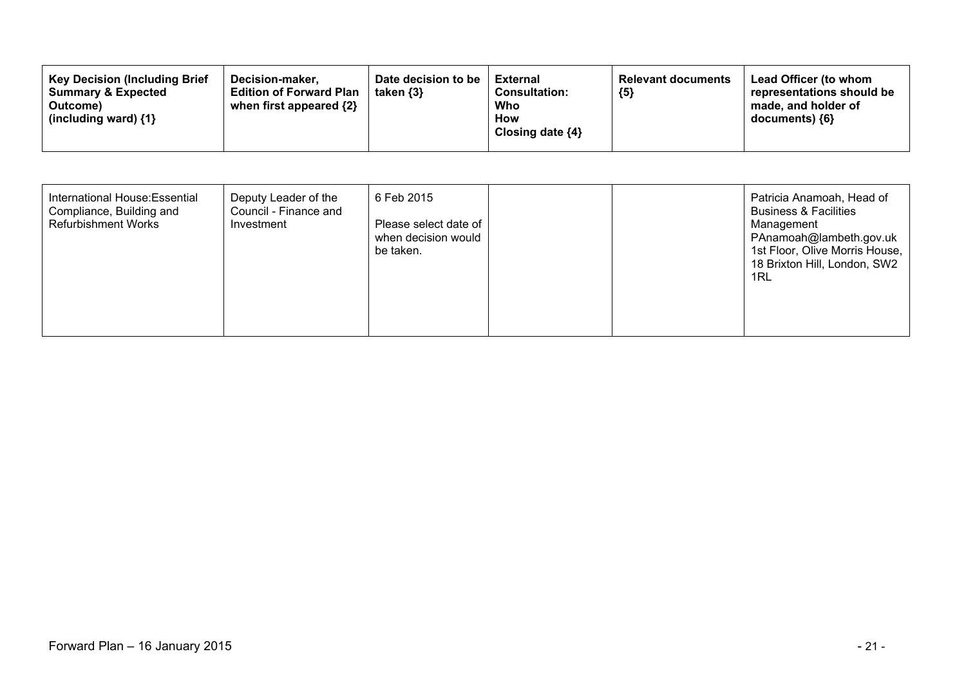| <b>Key Decision (Including Brief</b><br>Date decision to be<br>Decision-maker.<br><b>Edition of Forward Plan</b><br><b>Summary &amp; Expected</b><br>taken $\{3\}$<br>when first appeared {2}<br>Outcome)<br>(including ward) $\{1\}$ | <b>External</b><br>${5}$<br><b>Consultation:</b><br>Who<br><b>How</b><br>Closing date $\{4\}$ | Lead Officer (to whom<br><b>Relevant documents</b><br>representations should be<br>made, and holder of<br>$documents)$ {6} |
|---------------------------------------------------------------------------------------------------------------------------------------------------------------------------------------------------------------------------------------|-----------------------------------------------------------------------------------------------|----------------------------------------------------------------------------------------------------------------------------|
|---------------------------------------------------------------------------------------------------------------------------------------------------------------------------------------------------------------------------------------|-----------------------------------------------------------------------------------------------|----------------------------------------------------------------------------------------------------------------------------|

| International House: Essential<br>Deputy Leader of the<br>6 Feb 2015<br>Compliance, Building and<br>Council - Finance and<br><b>Refurbishment Works</b><br>Please select date of<br>Investment<br>when decision would<br>be taken. | Patricia Anamoah, Head of<br><b>Business &amp; Facilities</b><br>Management<br>PAnamoah@lambeth.gov.uk<br>1st Floor, Olive Morris House,<br>18 Brixton Hill, London, SW2<br>1RL |
|------------------------------------------------------------------------------------------------------------------------------------------------------------------------------------------------------------------------------------|---------------------------------------------------------------------------------------------------------------------------------------------------------------------------------|
|------------------------------------------------------------------------------------------------------------------------------------------------------------------------------------------------------------------------------------|---------------------------------------------------------------------------------------------------------------------------------------------------------------------------------|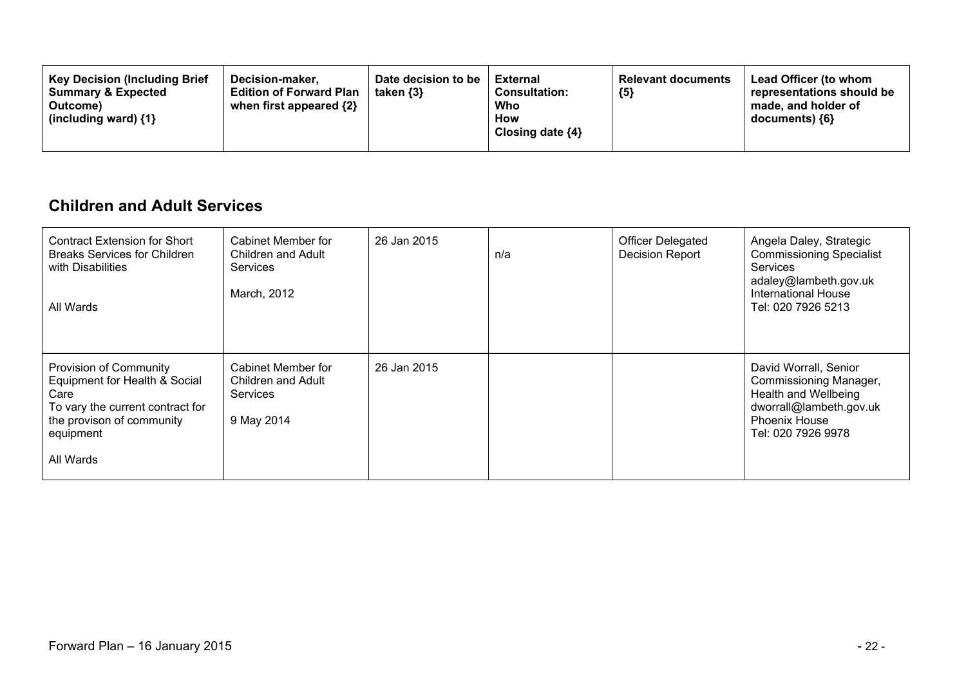| <b>Key Decision (Including Brief</b><br>Decision-maker.<br><b>Summary &amp; Expected</b><br><b>Edition of Forward Plan</b><br>when first appeared $\{2\}$<br>Outcome)<br>(including ward) $\{1\}$ | Date decision to be<br>taken $\{3\}$ | External<br><b>Consultation:</b><br>Who<br>How<br>Closing date $\{4\}$ | <b>Relevant documents</b><br>${5}$ | Lead Officer (to whom<br>representations should be<br>made, and holder of<br>documents) {6} |
|---------------------------------------------------------------------------------------------------------------------------------------------------------------------------------------------------|--------------------------------------|------------------------------------------------------------------------|------------------------------------|---------------------------------------------------------------------------------------------|
|---------------------------------------------------------------------------------------------------------------------------------------------------------------------------------------------------|--------------------------------------|------------------------------------------------------------------------|------------------------------------|---------------------------------------------------------------------------------------------|

#### **Children and Adult Services**

| Contract Extension for Short<br><b>Breaks Services for Children</b><br>with Disabilities<br>All Wards                                                      | Cabinet Member for<br>Children and Adult<br><b>Services</b><br>March, 2012 | 26 Jan 2015 | n/a | <b>Officer Delegated</b><br><b>Decision Report</b> | Angela Daley, Strategic<br><b>Commissioning Specialist</b><br><b>Services</b><br>adaley@lambeth.gov.uk<br><b>International House</b><br>Tel: 020 7926 5213 |
|------------------------------------------------------------------------------------------------------------------------------------------------------------|----------------------------------------------------------------------------|-------------|-----|----------------------------------------------------|------------------------------------------------------------------------------------------------------------------------------------------------------------|
| Provision of Community<br>Equipment for Health & Social<br>Care<br>To vary the current contract for<br>the provison of community<br>equipment<br>All Wards | Cabinet Member for<br>Children and Adult<br><b>Services</b><br>9 May 2014  | 26 Jan 2015 |     |                                                    | David Worrall, Senior<br>Commissioning Manager,<br>Health and Wellbeing<br>dworrall@lambeth.gov.uk<br><b>Phoenix House</b><br>Tel: 020 7926 9978           |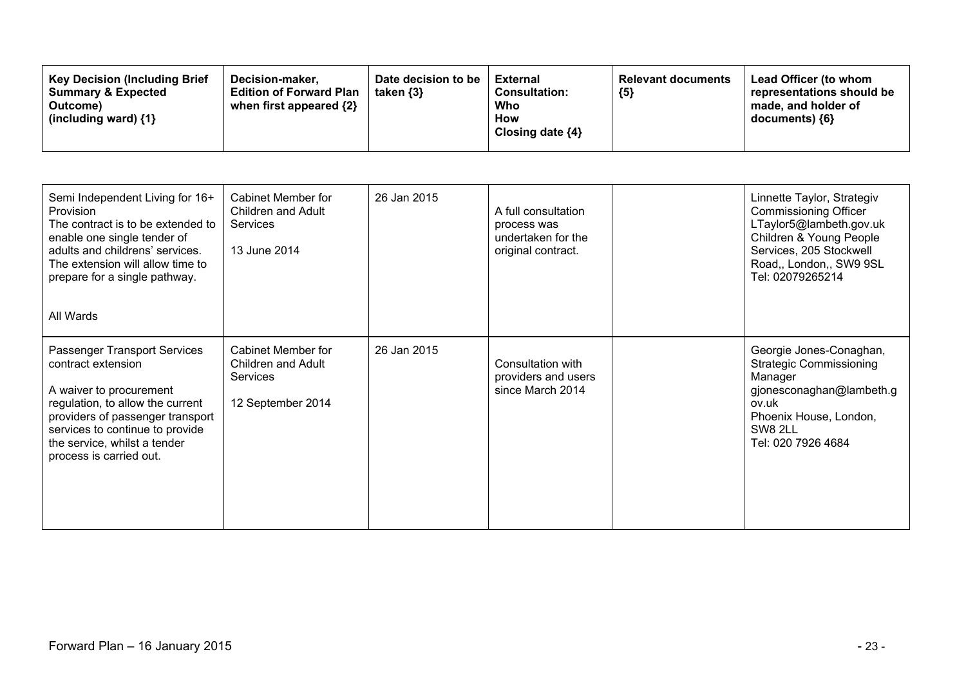| <b>Key Decision (Including Brief)</b><br>Decision-maker.<br><b>Edition of Forward Plan</b><br><b>Summary &amp; Expected</b><br>when first appeared {2}<br>Outcome)<br>(including ward) {1} | Date decision to be<br>taken $\{3\}$ | <b>External</b><br><b>Consultation:</b><br>Who<br>How<br>Closing date $\{4\}$ | <b>Relevant documents</b><br>${5}$ | Lead Officer (to whom<br>representations should be<br>made, and holder of<br>$documents)$ {6} |
|--------------------------------------------------------------------------------------------------------------------------------------------------------------------------------------------|--------------------------------------|-------------------------------------------------------------------------------|------------------------------------|-----------------------------------------------------------------------------------------------|
|--------------------------------------------------------------------------------------------------------------------------------------------------------------------------------------------|--------------------------------------|-------------------------------------------------------------------------------|------------------------------------|-----------------------------------------------------------------------------------------------|

| Semi Independent Living for 16+<br>Provision<br>The contract is to be extended to<br>enable one single tender of<br>adults and childrens' services.<br>The extension will allow time to<br>prepare for a single pathway.<br>All Wards               | <b>Cabinet Member for</b><br>Children and Adult<br>Services<br>13 June 2014             | 26 Jan 2015 | A full consultation<br>process was<br>undertaken for the<br>original contract. | Linnette Taylor, Strategiv<br><b>Commissioning Officer</b><br>LTaylor5@lambeth.gov.uk<br>Children & Young People<br>Services, 205 Stockwell<br>Road,, London,, SW9 9SL<br>Tel: 02079265214 |
|-----------------------------------------------------------------------------------------------------------------------------------------------------------------------------------------------------------------------------------------------------|-----------------------------------------------------------------------------------------|-------------|--------------------------------------------------------------------------------|--------------------------------------------------------------------------------------------------------------------------------------------------------------------------------------------|
| Passenger Transport Services<br>contract extension<br>A waiver to procurement<br>regulation, to allow the current<br>providers of passenger transport<br>services to continue to provide<br>the service, whilst a tender<br>process is carried out. | <b>Cabinet Member for</b><br>Children and Adult<br><b>Services</b><br>12 September 2014 | 26 Jan 2015 | Consultation with<br>providers and users<br>since March 2014                   | Georgie Jones-Conaghan,<br><b>Strategic Commissioning</b><br>Manager<br>gjonesconaghan@lambeth.g<br>ov.uk<br>Phoenix House, London,<br>SW8 2LL<br>Tel: 020 7926 4684                       |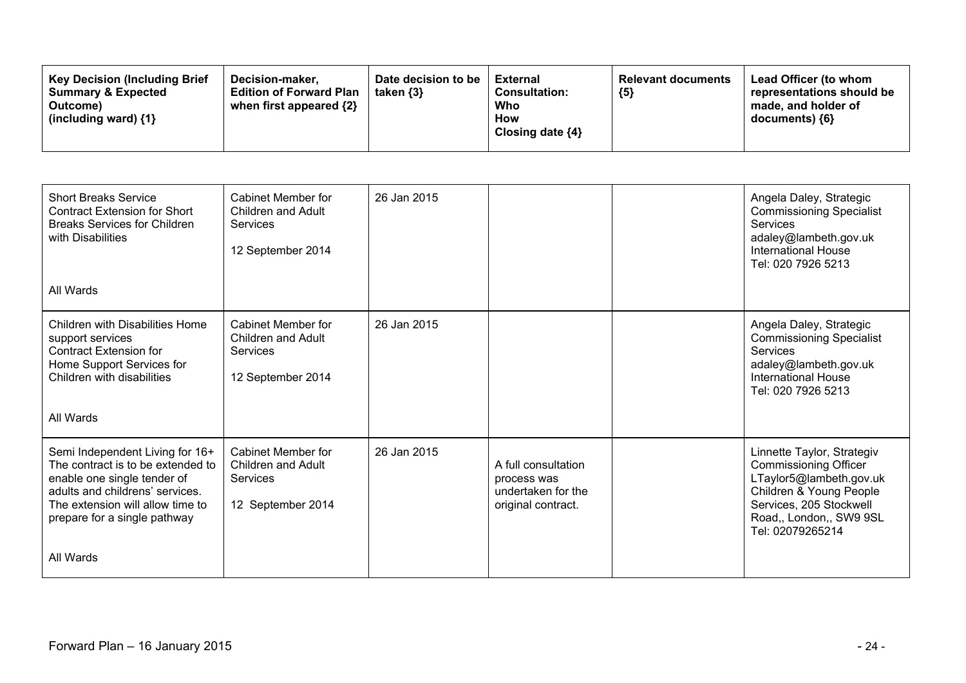| <b>Short Breaks Service</b><br><b>Contract Extension for Short</b><br><b>Breaks Services for Children</b><br>with Disabilities<br>All Wards                                                                             | Cabinet Member for<br>Children and Adult<br><b>Services</b><br>12 September 2014 | 26 Jan 2015 |                                                                                | Angela Daley, Strategic<br><b>Commissioning Specialist</b><br><b>Services</b><br>adaley@lambeth.gov.uk<br><b>International House</b><br>Tel: 020 7926 5213                                 |
|-------------------------------------------------------------------------------------------------------------------------------------------------------------------------------------------------------------------------|----------------------------------------------------------------------------------|-------------|--------------------------------------------------------------------------------|--------------------------------------------------------------------------------------------------------------------------------------------------------------------------------------------|
| <b>Children with Disabilities Home</b><br>support services<br><b>Contract Extension for</b><br>Home Support Services for<br>Children with disabilities<br>All Wards                                                     | Cabinet Member for<br>Children and Adult<br><b>Services</b><br>12 September 2014 | 26 Jan 2015 |                                                                                | Angela Daley, Strategic<br><b>Commissioning Specialist</b><br><b>Services</b><br>adaley@lambeth.gov.uk<br><b>International House</b><br>Tel: 020 7926 5213                                 |
| Semi Independent Living for 16+<br>The contract is to be extended to<br>enable one single tender of<br>adults and childrens' services.<br>The extension will allow time to<br>prepare for a single pathway<br>All Wards | Cabinet Member for<br>Children and Adult<br>Services<br>12 September 2014        | 26 Jan 2015 | A full consultation<br>process was<br>undertaken for the<br>original contract. | Linnette Taylor, Strategiv<br><b>Commissioning Officer</b><br>LTaylor5@lambeth.gov.uk<br>Children & Young People<br>Services, 205 Stockwell<br>Road,, London,, SW9 9SL<br>Tel: 02079265214 |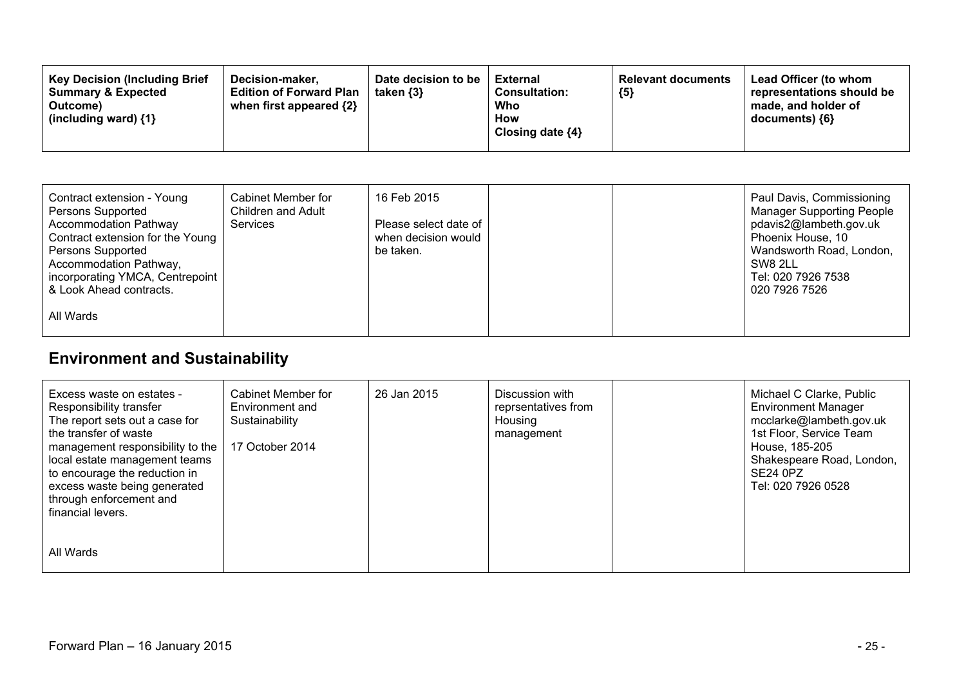| <b>Key Decision (Including Brief</b><br>Decision-maker.<br><b>Summary &amp; Expected</b><br><b>Edition of Forward Plan</b><br>when first appeared $\{2\}$<br>Outcome)<br>(including ward) $\{1\}$ | Date decision to be<br>taken $\{3\}$ | <b>External</b><br><b>Consultation:</b><br>Who<br>How<br>Closing date $\{4\}$ | <b>Relevant documents</b><br>${5}$ | Lead Officer (to whom<br>representations should be<br>made, and holder of<br>documents) {6} |
|---------------------------------------------------------------------------------------------------------------------------------------------------------------------------------------------------|--------------------------------------|-------------------------------------------------------------------------------|------------------------------------|---------------------------------------------------------------------------------------------|
|---------------------------------------------------------------------------------------------------------------------------------------------------------------------------------------------------|--------------------------------------|-------------------------------------------------------------------------------|------------------------------------|---------------------------------------------------------------------------------------------|

| Contract extension - Young<br>Persons Supported<br><b>Accommodation Pathway</b><br>Contract extension for the Young<br>Persons Supported<br>Accommodation Pathway,<br>incorporating YMCA, Centrepoint<br>& Look Ahead contracts. | Cabinet Member for<br>Children and Adult<br><b>Services</b> | 16 Feb 2015<br>Please select date of<br>when decision would<br>be taken. |  | Paul Davis, Commissioning<br><b>Manager Supporting People</b><br>pdavis2@lambeth.gov.uk<br>Phoenix House, 10<br>Wandsworth Road, London,<br>SW8 2LL<br>Tel: 020 7926 7538<br>020 7926 7526 |
|----------------------------------------------------------------------------------------------------------------------------------------------------------------------------------------------------------------------------------|-------------------------------------------------------------|--------------------------------------------------------------------------|--|--------------------------------------------------------------------------------------------------------------------------------------------------------------------------------------------|
| All Wards                                                                                                                                                                                                                        |                                                             |                                                                          |  |                                                                                                                                                                                            |

# **Environment and Sustainability**

| Excess waste on estates -<br>Responsibility transfer<br>The report sets out a case for<br>the transfer of waste<br>management responsibility to the<br>local estate management teams<br>to encourage the reduction in<br>excess waste being generated<br>through enforcement and<br>financial levers. | Cabinet Member for<br>Environment and<br>Sustainability<br>17 October 2014 | 26 Jan 2015 | Discussion with<br>reprsentatives from<br>Housing<br>management | Michael C Clarke, Public<br><b>Environment Manager</b><br>mcclarke@lambeth.gov.uk<br>1st Floor, Service Team<br>House, 185-205<br>Shakespeare Road, London,<br>SE24 0PZ<br>Tel: 020 7926 0528 |
|-------------------------------------------------------------------------------------------------------------------------------------------------------------------------------------------------------------------------------------------------------------------------------------------------------|----------------------------------------------------------------------------|-------------|-----------------------------------------------------------------|-----------------------------------------------------------------------------------------------------------------------------------------------------------------------------------------------|
| All Wards                                                                                                                                                                                                                                                                                             |                                                                            |             |                                                                 |                                                                                                                                                                                               |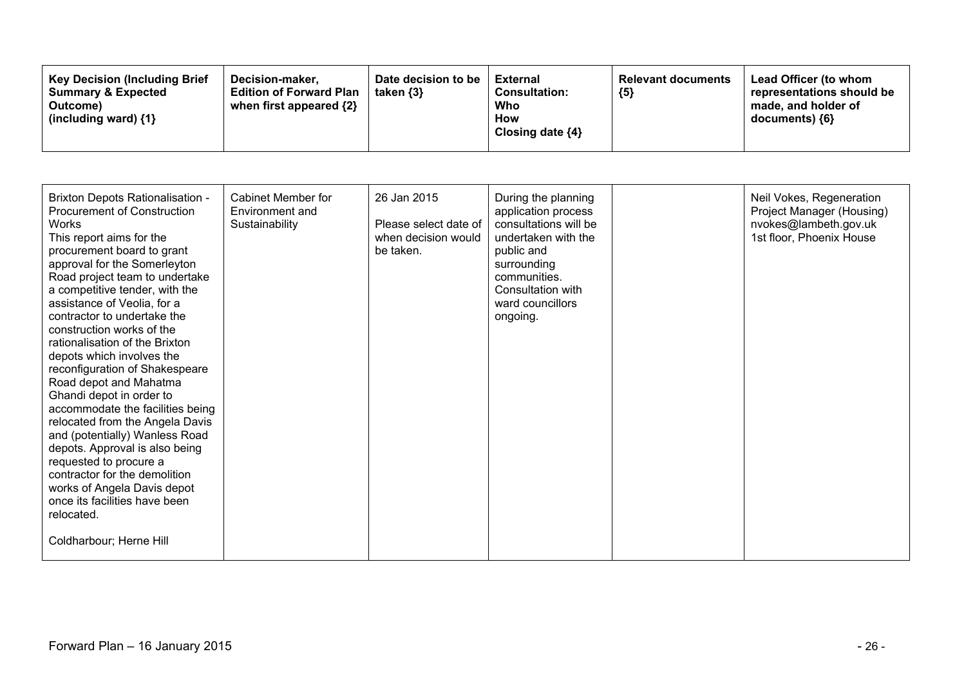| <b>Key Decision (Including Brief</b><br>Decision-maker,<br><b>Summary &amp; Expected</b><br><b>Edition of Forward Plan</b><br>when first appeared {2}<br>Outcome)<br>(including ward) $\{1\}$ | Date decision to be<br>taken $\{3\}$ | External<br><b>Consultation:</b><br>Who<br>How<br>Closing date ${4}$ | <b>Relevant documents</b><br>${5}$ | Lead Officer (to whom<br>representations should be<br>made, and holder of<br>documents) ${6}$ |
|-----------------------------------------------------------------------------------------------------------------------------------------------------------------------------------------------|--------------------------------------|----------------------------------------------------------------------|------------------------------------|-----------------------------------------------------------------------------------------------|
|-----------------------------------------------------------------------------------------------------------------------------------------------------------------------------------------------|--------------------------------------|----------------------------------------------------------------------|------------------------------------|-----------------------------------------------------------------------------------------------|

| <b>Brixton Depots Rationalisation -</b><br><b>Procurement of Construction</b><br><b>Works</b><br>This report aims for the<br>procurement board to grant<br>approval for the Somerleyton<br>Road project team to undertake<br>a competitive tender, with the<br>assistance of Veolia, for a<br>contractor to undertake the<br>construction works of the<br>rationalisation of the Brixton<br>depots which involves the<br>reconfiguration of Shakespeare<br>Road depot and Mahatma<br>Ghandi depot in order to<br>accommodate the facilities being<br>relocated from the Angela Davis<br>and (potentially) Wanless Road<br>depots. Approval is also being<br>requested to procure a<br>contractor for the demolition<br>works of Angela Davis depot<br>once its facilities have been<br>relocated.<br>Coldharbour; Herne Hill | Cabinet Member for<br>Environment and<br>Sustainability | 26 Jan 2015<br>Please select date of<br>when decision would<br>be taken. | During the planning<br>application process<br>consultations will be<br>undertaken with the<br>public and<br>surrounding<br>communities.<br>Consultation with<br>ward councillors<br>ongoing. | Neil Vokes, Regeneration<br>Project Manager (Housing)<br>nvokes@lambeth.gov.uk<br>1st floor, Phoenix House |
|------------------------------------------------------------------------------------------------------------------------------------------------------------------------------------------------------------------------------------------------------------------------------------------------------------------------------------------------------------------------------------------------------------------------------------------------------------------------------------------------------------------------------------------------------------------------------------------------------------------------------------------------------------------------------------------------------------------------------------------------------------------------------------------------------------------------------|---------------------------------------------------------|--------------------------------------------------------------------------|----------------------------------------------------------------------------------------------------------------------------------------------------------------------------------------------|------------------------------------------------------------------------------------------------------------|
|                                                                                                                                                                                                                                                                                                                                                                                                                                                                                                                                                                                                                                                                                                                                                                                                                              |                                                         |                                                                          |                                                                                                                                                                                              |                                                                                                            |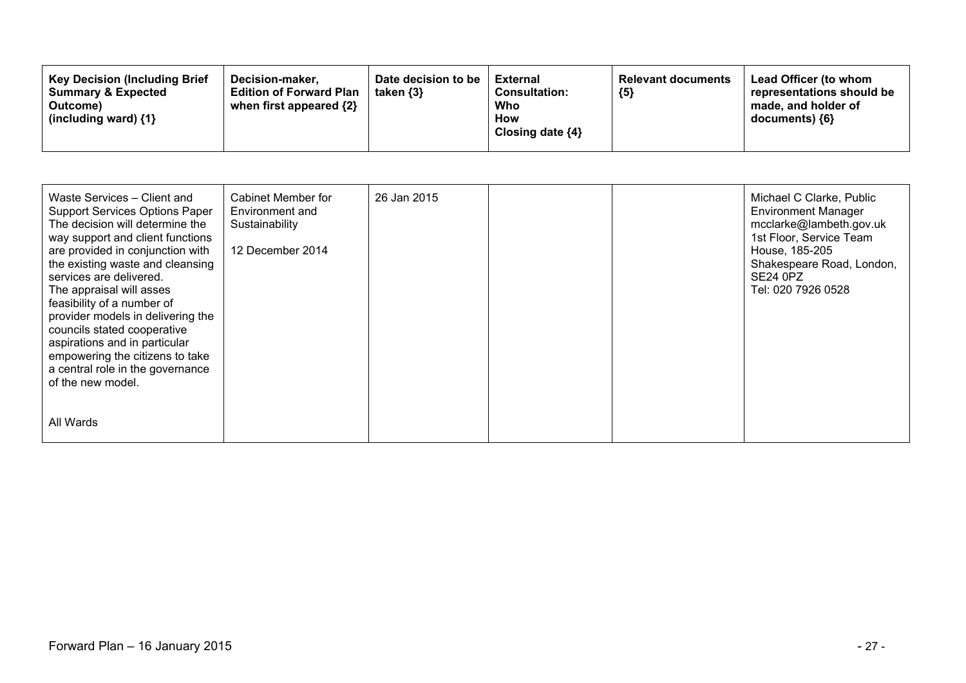| <b>Key Decision (Including Brief)</b><br>Decision-maker.<br><b>Summary &amp; Expected</b><br><b>Edition of Forward Plan</b><br>when first appeared {2}<br>Outcome)<br>(including ward) $\{1\}$ | Date decision to be<br>taken $\{3\}$ | <b>External</b><br><b>Consultation:</b><br>Who<br>How<br>Closing date $\{4\}$ | <b>Relevant documents</b><br>${5}$ | Lead Officer (to whom<br>representations should be<br>made, and holder of<br>$documents)$ {6} |
|------------------------------------------------------------------------------------------------------------------------------------------------------------------------------------------------|--------------------------------------|-------------------------------------------------------------------------------|------------------------------------|-----------------------------------------------------------------------------------------------|
|------------------------------------------------------------------------------------------------------------------------------------------------------------------------------------------------|--------------------------------------|-------------------------------------------------------------------------------|------------------------------------|-----------------------------------------------------------------------------------------------|

| Waste Services - Client and<br><b>Support Services Options Paper</b><br>The decision will determine the<br>way support and client functions<br>are provided in conjunction with<br>the existing waste and cleansing<br>services are delivered.<br>The appraisal will asses<br>feasibility of a number of<br>provider models in delivering the<br>councils stated cooperative<br>aspirations and in particular<br>empowering the citizens to take<br>a central role in the governance<br>of the new model. | Cabinet Member for<br>Environment and<br>Sustainability<br>12 December 2014 | 26 Jan 2015 |  | Michael C Clarke, Public<br><b>Environment Manager</b><br>mcclarke@lambeth.gov.uk<br>1st Floor, Service Team<br>House, 185-205<br>Shakespeare Road, London,<br>SE24 0PZ<br>Tel: 020 7926 0528 |
|-----------------------------------------------------------------------------------------------------------------------------------------------------------------------------------------------------------------------------------------------------------------------------------------------------------------------------------------------------------------------------------------------------------------------------------------------------------------------------------------------------------|-----------------------------------------------------------------------------|-------------|--|-----------------------------------------------------------------------------------------------------------------------------------------------------------------------------------------------|
| All Wards                                                                                                                                                                                                                                                                                                                                                                                                                                                                                                 |                                                                             |             |  |                                                                                                                                                                                               |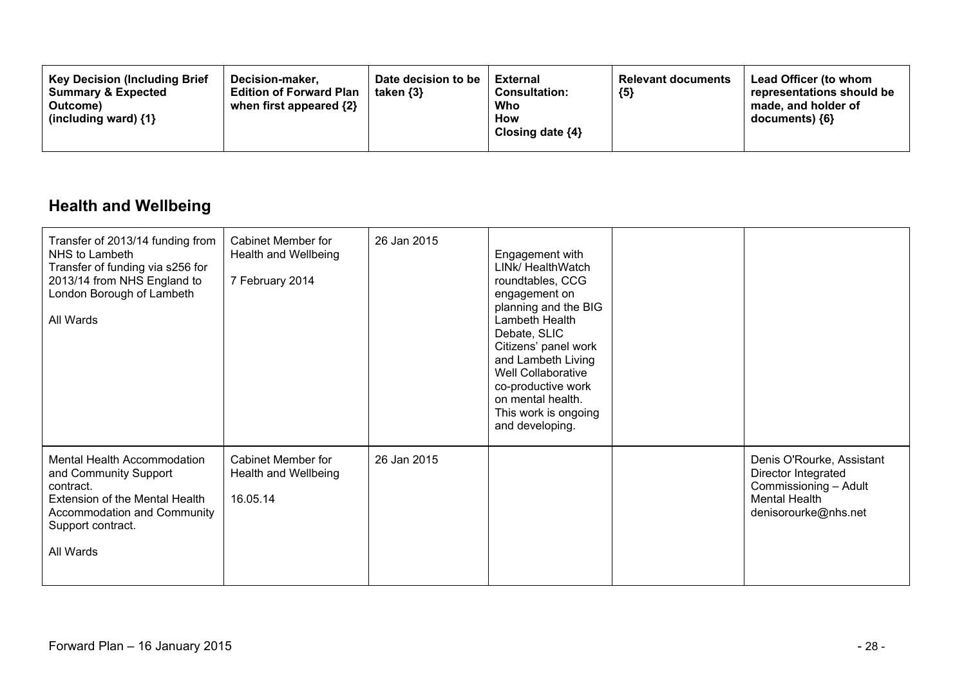| <b>Key Decision (Including Brief</b><br>Decision-maker.<br><b>Summary &amp; Expected</b><br>Outcome)<br>(including ward) $\{1\}$ | Date decision to be<br>taken $\{3\}$<br><b>Edition of Forward Plan</b><br>when first appeared {2} | <b>External</b><br><b>Consultation:</b><br>Who<br>How<br>Closing date $\{4\}$ | <b>Relevant documents</b><br>${5}$ | <b>Lead Officer (to whom</b><br>representations should be<br>made, and holder of<br>$documents)$ {6} |
|----------------------------------------------------------------------------------------------------------------------------------|---------------------------------------------------------------------------------------------------|-------------------------------------------------------------------------------|------------------------------------|------------------------------------------------------------------------------------------------------|
|----------------------------------------------------------------------------------------------------------------------------------|---------------------------------------------------------------------------------------------------|-------------------------------------------------------------------------------|------------------------------------|------------------------------------------------------------------------------------------------------|

### **Health and Wellbeing**

| Transfer of 2013/14 funding from<br>NHS to Lambeth<br>Transfer of funding via s256 for<br>2013/14 from NHS England to<br>London Borough of Lambeth<br>All Wards      | <b>Cabinet Member for</b><br>Health and Wellbeing<br>7 February 2014 | 26 Jan 2015 | Engagement with<br>LINk/ HealthWatch<br>roundtables, CCG<br>engagement on<br>planning and the BIG<br>Lambeth Health<br>Debate, SLIC<br>Citizens' panel work<br>and Lambeth Living<br>Well Collaborative<br>co-productive work<br>on mental health.<br>This work is ongoing<br>and developing. |                                                                                                                           |
|----------------------------------------------------------------------------------------------------------------------------------------------------------------------|----------------------------------------------------------------------|-------------|-----------------------------------------------------------------------------------------------------------------------------------------------------------------------------------------------------------------------------------------------------------------------------------------------|---------------------------------------------------------------------------------------------------------------------------|
| Mental Health Accommodation<br>and Community Support<br>contract.<br>Extension of the Mental Health<br>Accommodation and Community<br>Support contract.<br>All Wards | <b>Cabinet Member for</b><br>Health and Wellbeing<br>16.05.14        | 26 Jan 2015 |                                                                                                                                                                                                                                                                                               | Denis O'Rourke, Assistant<br>Director Integrated<br>Commissioning - Adult<br><b>Mental Health</b><br>denisorourke@nhs.net |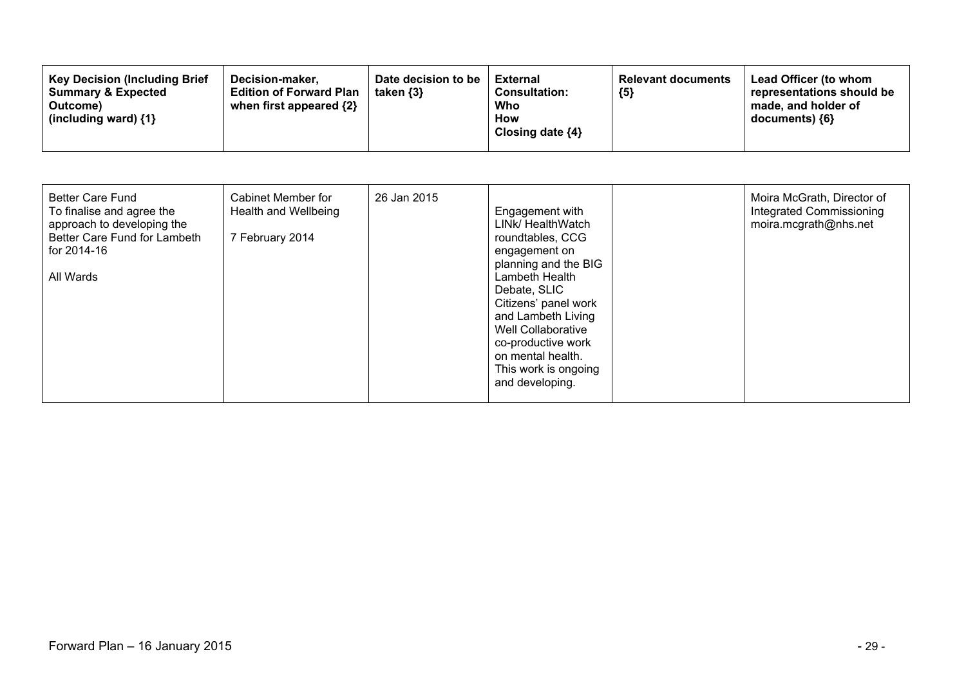| <b>Better Care Fund</b><br>To finalise and agree the<br>approach to developing the<br>Better Care Fund for Lambeth<br>for 2014-16<br>All Wards | Cabinet Member for<br>Health and Wellbeing<br>7 February 2014 | 26 Jan 2015 | Engagement with<br>LINK/ HealthWatch<br>roundtables, CCG<br>engagement on<br>planning and the BIG<br>Lambeth Health<br>Debate, SLIC<br>Citizens' panel work<br>and Lambeth Living<br>Well Collaborative<br>co-productive work<br>on mental health.<br>This work is ongoing<br>and developing. |  | Moira McGrath, Director of<br>Integrated Commissioning<br>moira.mcgrath@nhs.net |
|------------------------------------------------------------------------------------------------------------------------------------------------|---------------------------------------------------------------|-------------|-----------------------------------------------------------------------------------------------------------------------------------------------------------------------------------------------------------------------------------------------------------------------------------------------|--|---------------------------------------------------------------------------------|
|------------------------------------------------------------------------------------------------------------------------------------------------|---------------------------------------------------------------|-------------|-----------------------------------------------------------------------------------------------------------------------------------------------------------------------------------------------------------------------------------------------------------------------------------------------|--|---------------------------------------------------------------------------------|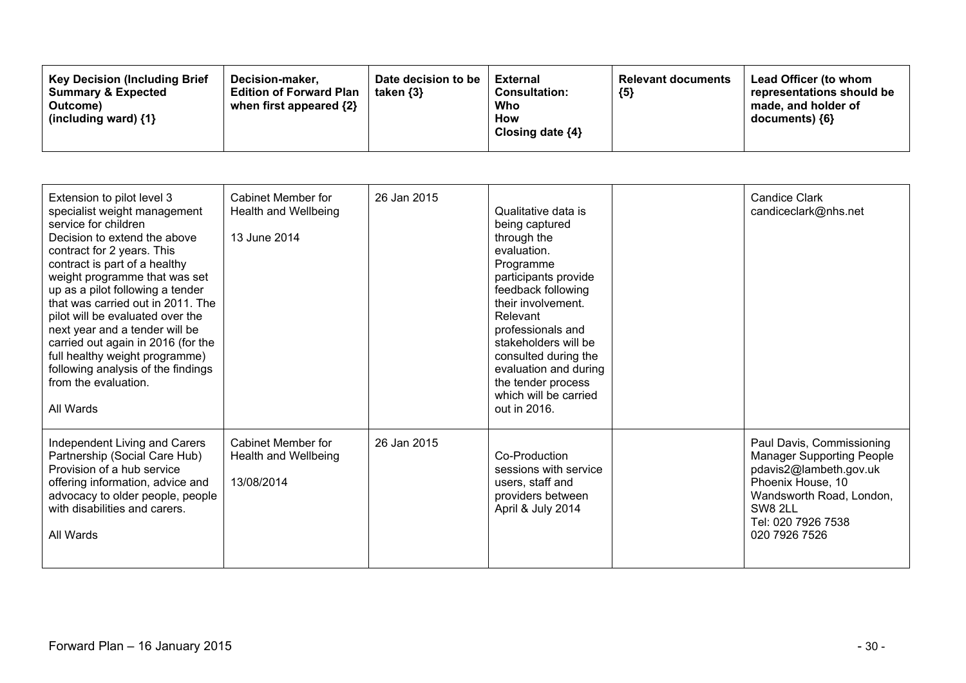| Extension to pilot level 3<br>specialist weight management<br>service for children<br>Decision to extend the above<br>contract for 2 years. This<br>contract is part of a healthy<br>weight programme that was set<br>up as a pilot following a tender<br>that was carried out in 2011. The<br>pilot will be evaluated over the<br>next year and a tender will be<br>carried out again in 2016 (for the<br>full healthy weight programme)<br>following analysis of the findings<br>from the evaluation.<br>All Wards | Cabinet Member for<br>Health and Wellbeing<br>13 June 2014      | 26 Jan 2015 | Qualitative data is<br>being captured<br>through the<br>evaluation.<br>Programme<br>participants provide<br>feedback following<br>their involvement.<br>Relevant<br>professionals and<br>stakeholders will be<br>consulted during the<br>evaluation and during<br>the tender process<br>which will be carried<br>out in 2016. | <b>Candice Clark</b><br>candiceclark@nhs.net                                                                                                                                               |
|----------------------------------------------------------------------------------------------------------------------------------------------------------------------------------------------------------------------------------------------------------------------------------------------------------------------------------------------------------------------------------------------------------------------------------------------------------------------------------------------------------------------|-----------------------------------------------------------------|-------------|-------------------------------------------------------------------------------------------------------------------------------------------------------------------------------------------------------------------------------------------------------------------------------------------------------------------------------|--------------------------------------------------------------------------------------------------------------------------------------------------------------------------------------------|
| Independent Living and Carers<br>Partnership (Social Care Hub)<br>Provision of a hub service<br>offering information, advice and<br>advocacy to older people, people<br>with disabilities and carers.<br>All Wards                                                                                                                                                                                                                                                                                                   | <b>Cabinet Member for</b><br>Health and Wellbeing<br>13/08/2014 | 26 Jan 2015 | Co-Production<br>sessions with service<br>users, staff and<br>providers between<br>April & July 2014                                                                                                                                                                                                                          | Paul Davis, Commissioning<br><b>Manager Supporting People</b><br>pdavis2@lambeth.gov.uk<br>Phoenix House, 10<br>Wandsworth Road, London,<br>SW8 2LL<br>Tel: 020 7926 7538<br>020 7926 7526 |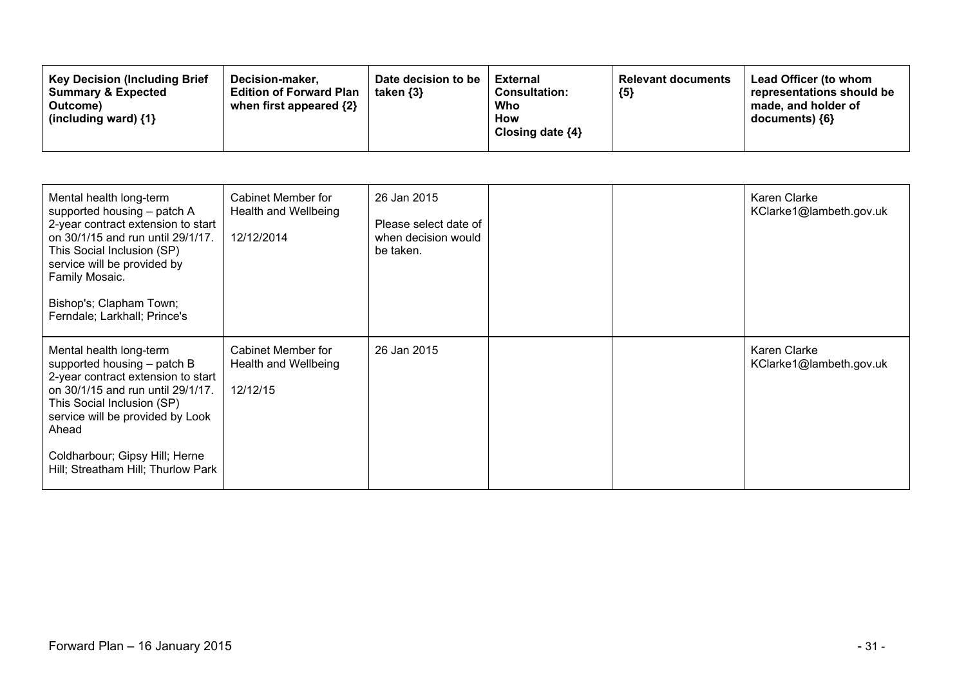| <b>Key Decision (Including Brief</b><br>Date decision to be<br>Decision-maker.<br><b>Summary &amp; Expected</b><br><b>Edition of Forward Plan</b><br>taken $\{3\}$<br>when first appeared $\{2\}$<br>Outcome)<br>(including ward) $\{1\}$ | External<br><b>Consultation:</b><br>Who<br><b>How</b><br>Closing date $\{4\}$ | <b>Relevant documents</b><br>${5}$ | <b>Lead Officer (to whom</b><br>representations should be<br>made, and holder of<br>documents) {6} |
|-------------------------------------------------------------------------------------------------------------------------------------------------------------------------------------------------------------------------------------------|-------------------------------------------------------------------------------|------------------------------------|----------------------------------------------------------------------------------------------------|
|-------------------------------------------------------------------------------------------------------------------------------------------------------------------------------------------------------------------------------------------|-------------------------------------------------------------------------------|------------------------------------|----------------------------------------------------------------------------------------------------|

| Mental health long-term<br>supported housing - patch A<br>2-year contract extension to start<br>on 30/1/15 and run until 29/1/17.<br>This Social Inclusion (SP)<br>service will be provided by<br>Family Mosaic.<br>Bishop's; Clapham Town;<br>Ferndale; Larkhall; Prince's          | Cabinet Member for<br>Health and Wellbeing<br>12/12/2014 | 26 Jan 2015<br>Please select date of<br>when decision would<br>be taken. |  | Karen Clarke<br>KClarke1@lambeth.gov.uk |
|--------------------------------------------------------------------------------------------------------------------------------------------------------------------------------------------------------------------------------------------------------------------------------------|----------------------------------------------------------|--------------------------------------------------------------------------|--|-----------------------------------------|
| Mental health long-term<br>supported housing - patch B<br>2-year contract extension to start<br>on 30/1/15 and run until 29/1/17.<br>This Social Inclusion (SP)<br>service will be provided by Look<br>Ahead<br>Coldharbour; Gipsy Hill; Herne<br>Hill; Streatham Hill; Thurlow Park | Cabinet Member for<br>Health and Wellbeing<br>12/12/15   | 26 Jan 2015                                                              |  | Karen Clarke<br>KClarke1@lambeth.gov.uk |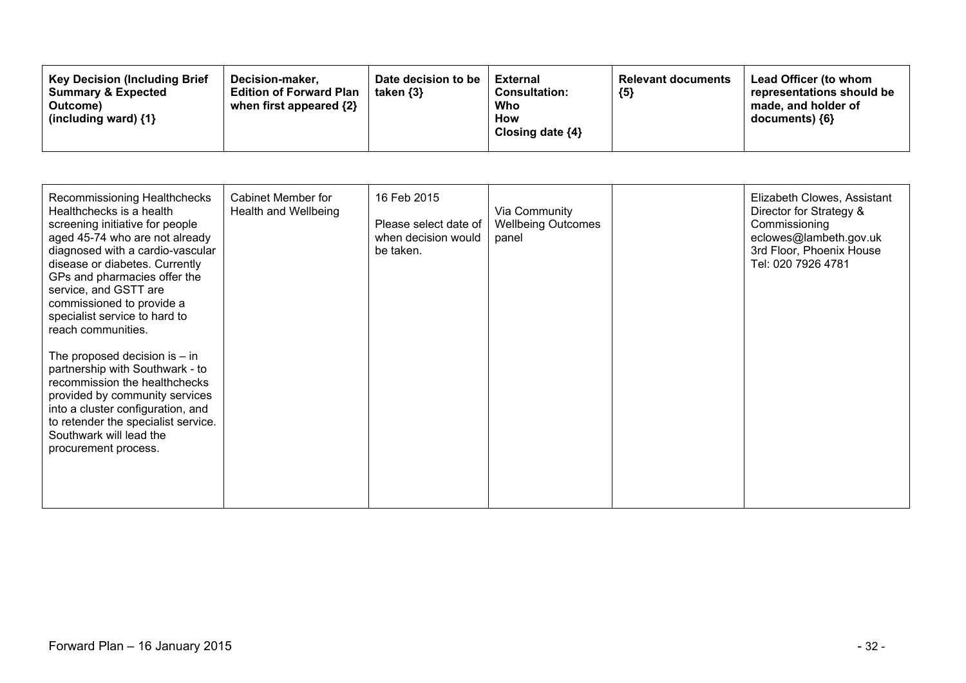| <b>Key Decision (Including Brief</b><br>Decision-maker.<br><b>Summary &amp; Expected</b><br><b>Edition of Forward Plan</b><br>when first appeared {2}<br>Outcome)<br>(including ward) $\{1\}$ | Date decision to be<br>taken $\{3\}$ | External<br><b>Consultation:</b><br>Who<br>How<br>Closing date $\{4\}$ | <b>Relevant documents</b><br>${5}$ | Lead Officer (to whom<br>representations should be<br>made, and holder of<br>documents) {6} |
|-----------------------------------------------------------------------------------------------------------------------------------------------------------------------------------------------|--------------------------------------|------------------------------------------------------------------------|------------------------------------|---------------------------------------------------------------------------------------------|
|-----------------------------------------------------------------------------------------------------------------------------------------------------------------------------------------------|--------------------------------------|------------------------------------------------------------------------|------------------------------------|---------------------------------------------------------------------------------------------|

| Recommissioning Healthchecks<br>Healthchecks is a health<br>screening initiative for people<br>aged 45-74 who are not already<br>diagnosed with a cardio-vascular<br>disease or diabetes. Currently<br>GPs and pharmacies offer the<br>service, and GSTT are<br>commissioned to provide a<br>specialist service to hard to<br>reach communities. | <b>Cabinet Member for</b><br>Health and Wellbeing | 16 Feb 2015<br>Please select date of<br>when decision would<br>be taken. | Via Community<br><b>Wellbeing Outcomes</b><br>panel | Elizabeth Clowes, Assistant<br>Director for Strategy &<br>Commissioning<br>eclowes@lambeth.gov.uk<br>3rd Floor, Phoenix House<br>Tel: 020 7926 4781 |
|--------------------------------------------------------------------------------------------------------------------------------------------------------------------------------------------------------------------------------------------------------------------------------------------------------------------------------------------------|---------------------------------------------------|--------------------------------------------------------------------------|-----------------------------------------------------|-----------------------------------------------------------------------------------------------------------------------------------------------------|
| The proposed decision is $-$ in<br>partnership with Southwark - to<br>recommission the healthchecks<br>provided by community services<br>into a cluster configuration, and<br>to retender the specialist service.<br>Southwark will lead the<br>procurement process.                                                                             |                                                   |                                                                          |                                                     |                                                                                                                                                     |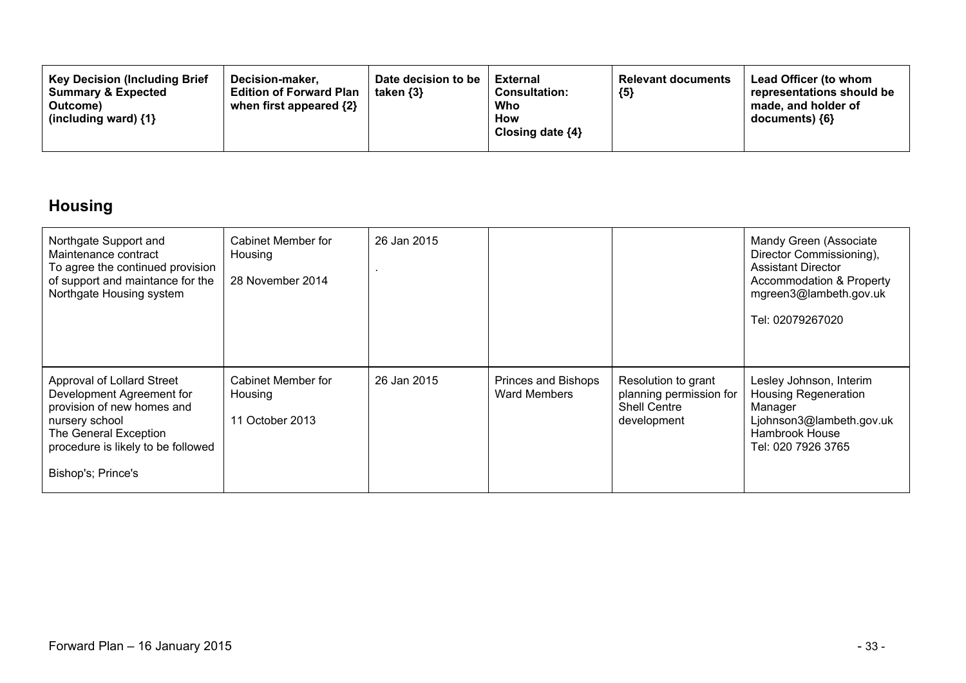| <b>Key Decision (Including Brief</b><br><b>Summary &amp; Expected</b><br>Outcome)<br>(including ward) $\{1\}$ | Decision-maker.<br><b>Edition of Forward Plan</b><br>when first appeared $\{2\}$ | Date decision to be<br>taken $\{3\}$ | External<br><b>Consultation:</b><br>Who<br>How<br>Closing date $\{4\}$ | <b>Relevant documents</b><br>${5}$ | Lead Officer (to whom<br>representations should be<br>made, and holder of<br>documents) {6} |
|---------------------------------------------------------------------------------------------------------------|----------------------------------------------------------------------------------|--------------------------------------|------------------------------------------------------------------------|------------------------------------|---------------------------------------------------------------------------------------------|
|---------------------------------------------------------------------------------------------------------------|----------------------------------------------------------------------------------|--------------------------------------|------------------------------------------------------------------------|------------------------------------|---------------------------------------------------------------------------------------------|

# **Housing**

| Northgate Support and<br>Maintenance contract<br>To agree the continued provision<br>of support and maintance for the<br>Northgate Housing system                                            | Cabinet Member for<br>Housing<br>28 November 2014 | 26 Jan 2015 |                                            |                                                                                      | Mandy Green (Associate<br>Director Commissioning),<br><b>Assistant Director</b><br>Accommodation & Property<br>mgreen3@lambeth.gov.uk<br>Tel: 02079267020 |
|----------------------------------------------------------------------------------------------------------------------------------------------------------------------------------------------|---------------------------------------------------|-------------|--------------------------------------------|--------------------------------------------------------------------------------------|-----------------------------------------------------------------------------------------------------------------------------------------------------------|
| Approval of Lollard Street<br>Development Agreement for<br>provision of new homes and<br>nursery school<br>The General Exception<br>procedure is likely to be followed<br>Bishop's; Prince's | Cabinet Member for<br>Housing<br>11 October 2013  | 26 Jan 2015 | Princes and Bishops<br><b>Ward Members</b> | Resolution to grant<br>planning permission for<br><b>Shell Centre</b><br>development | Lesley Johnson, Interim<br><b>Housing Regeneration</b><br>Manager<br>Ljohnson3@lambeth.gov.uk<br>Hambrook House<br>Tel: 020 7926 3765                     |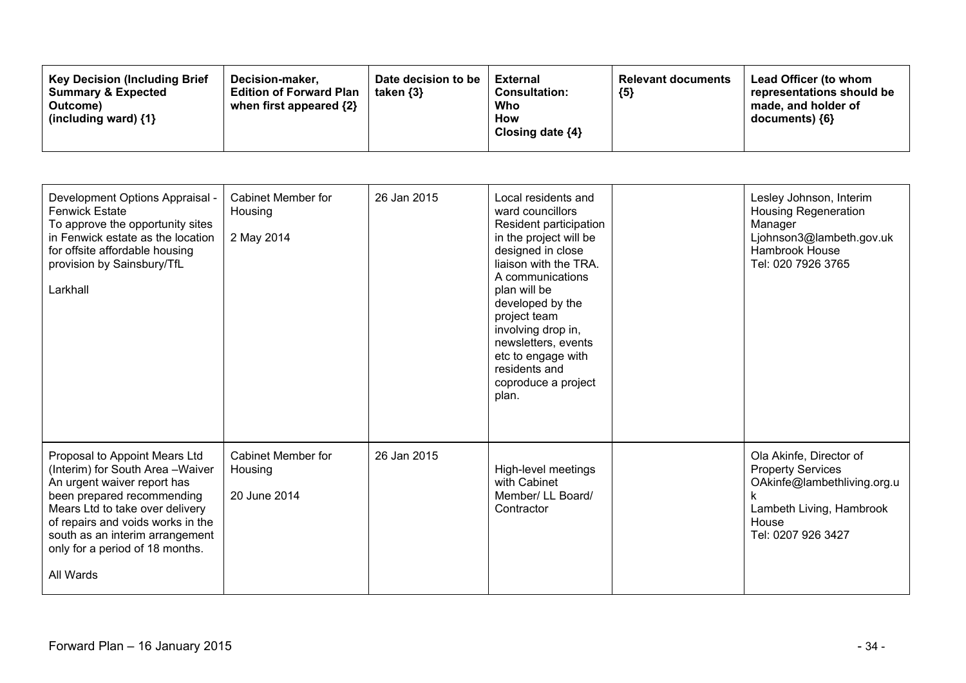| <b>Key Decision (Including Brief)</b><br>Decision-maker.<br><b>Summary &amp; Expected</b><br><b>Edition of Forward Plan</b><br>when first appeared $\{2\}$<br>Outcome)<br>(including ward) $\{1\}$ | Date decision to be<br>taken $\{3\}$ | External<br><b>Consultation:</b><br>Who<br>How<br>Closing date ${4}$ | <b>Relevant documents</b><br>${5}$ | Lead Officer (to whom<br>representations should be<br>made, and holder of<br>documents) ${6}$ |
|----------------------------------------------------------------------------------------------------------------------------------------------------------------------------------------------------|--------------------------------------|----------------------------------------------------------------------|------------------------------------|-----------------------------------------------------------------------------------------------|
|----------------------------------------------------------------------------------------------------------------------------------------------------------------------------------------------------|--------------------------------------|----------------------------------------------------------------------|------------------------------------|-----------------------------------------------------------------------------------------------|

| Development Options Appraisal -<br><b>Fenwick Estate</b><br>To approve the opportunity sites<br>in Fenwick estate as the location<br>for offsite affordable housing<br>provision by Sainsbury/TfL<br>Larkhall                                                                            | <b>Cabinet Member for</b><br>Housing<br>2 May 2014 | 26 Jan 2015 | Local residents and<br>ward councillors<br>Resident participation<br>in the project will be<br>designed in close<br>liaison with the TRA.<br>A communications<br>plan will be<br>developed by the<br>project team<br>involving drop in,<br>newsletters, events<br>etc to engage with<br>residents and<br>coproduce a project<br>plan. | Lesley Johnson, Interim<br><b>Housing Regeneration</b><br>Manager<br>Ljohnson3@lambeth.gov.uk<br>Hambrook House<br>Tel: 020 7926 3765         |
|------------------------------------------------------------------------------------------------------------------------------------------------------------------------------------------------------------------------------------------------------------------------------------------|----------------------------------------------------|-------------|---------------------------------------------------------------------------------------------------------------------------------------------------------------------------------------------------------------------------------------------------------------------------------------------------------------------------------------|-----------------------------------------------------------------------------------------------------------------------------------------------|
| Proposal to Appoint Mears Ltd<br>(Interim) for South Area-Waiver<br>An urgent waiver report has<br>been prepared recommending<br>Mears Ltd to take over delivery<br>of repairs and voids works in the<br>south as an interim arrangement<br>only for a period of 18 months.<br>All Wards | Cabinet Member for<br>Housing<br>20 June 2014      | 26 Jan 2015 | High-level meetings<br>with Cabinet<br>Member/ LL Board/<br>Contractor                                                                                                                                                                                                                                                                | Ola Akinfe, Director of<br><b>Property Services</b><br>OAkinfe@lambethliving.org.u<br>Lambeth Living, Hambrook<br>House<br>Tel: 0207 926 3427 |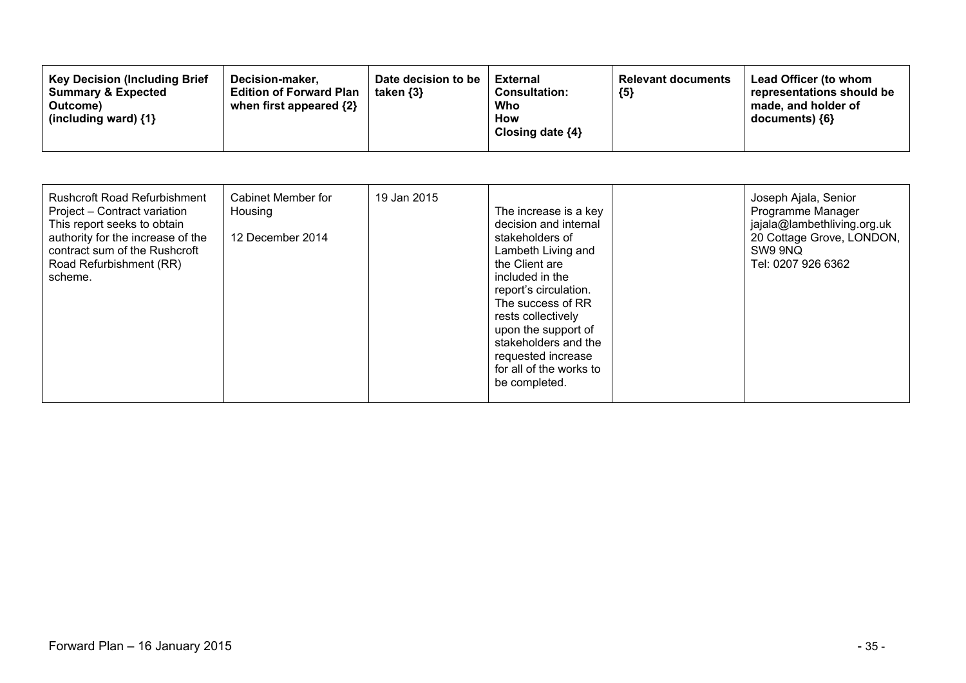| <b>Key Decision (Including Brief</b><br>Decision-maker.<br><b>Summary &amp; Expected</b><br><b>Edition of Forward Plan</b><br>when first appeared {2}<br>Outcome)<br>(including ward) $\{1\}$ | Date decision to be<br>taken {3} | External<br><b>Consultation:</b><br>Who<br>How<br>Closing date $\{4\}$ | <b>Relevant documents</b><br>${5}$ | Lead Officer (to whom<br>representations should be<br>made, and holder of<br>$documents)$ {6} |
|-----------------------------------------------------------------------------------------------------------------------------------------------------------------------------------------------|----------------------------------|------------------------------------------------------------------------|------------------------------------|-----------------------------------------------------------------------------------------------|
|-----------------------------------------------------------------------------------------------------------------------------------------------------------------------------------------------|----------------------------------|------------------------------------------------------------------------|------------------------------------|-----------------------------------------------------------------------------------------------|

| <b>Rushcroft Road Refurbishment</b><br>Project - Contract variation<br>This report seeks to obtain<br>authority for the increase of the<br>contract sum of the Rushcroft<br>Road Refurbishment (RR)<br>scheme. | Cabinet Member for<br>Housing<br>12 December 2014 | 19 Jan 2015 | The increase is a key<br>decision and internal<br>stakeholders of<br>Lambeth Living and<br>the Client are<br>included in the<br>report's circulation.<br>The success of RR<br>rests collectively<br>upon the support of<br>stakeholders and the<br>requested increase<br>for all of the works to<br>be completed. |  | Joseph Ajala, Senior<br>Programme Manager<br>jajala@lambethliving.org.uk<br>20 Cottage Grove, LONDON,<br>SW9 9NQ<br>Tel: 0207 926 6362 |
|----------------------------------------------------------------------------------------------------------------------------------------------------------------------------------------------------------------|---------------------------------------------------|-------------|-------------------------------------------------------------------------------------------------------------------------------------------------------------------------------------------------------------------------------------------------------------------------------------------------------------------|--|----------------------------------------------------------------------------------------------------------------------------------------|
|----------------------------------------------------------------------------------------------------------------------------------------------------------------------------------------------------------------|---------------------------------------------------|-------------|-------------------------------------------------------------------------------------------------------------------------------------------------------------------------------------------------------------------------------------------------------------------------------------------------------------------|--|----------------------------------------------------------------------------------------------------------------------------------------|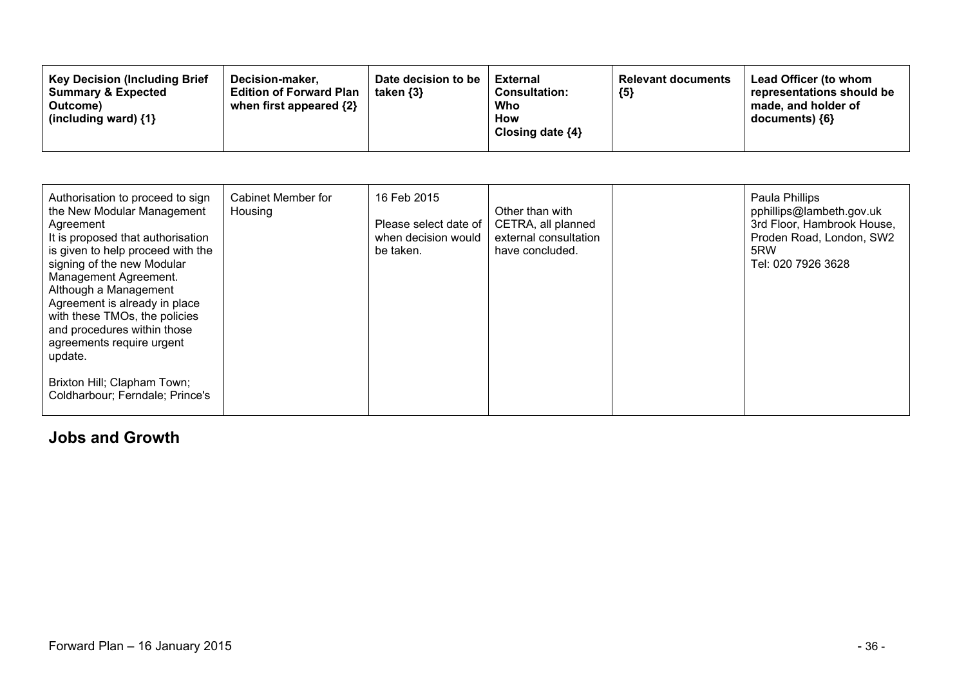| <b>Key Decision (Including Brief</b><br>Decision-maker.<br><b>Edition of Forward Plan</b><br><b>Summary &amp; Expected</b><br>when first appeared {2}<br>Outcome)<br>(including ward) $\{1\}$ | Date decision to be<br>taken $\{3\}$ | <b>External</b><br><b>Consultation:</b><br>Who<br>How<br>Closing date $\{4\}$ | <b>Relevant documents</b><br>${5}$ | Lead Officer (to whom<br>representations should be<br>made, and holder of<br>$documents)$ {6} |
|-----------------------------------------------------------------------------------------------------------------------------------------------------------------------------------------------|--------------------------------------|-------------------------------------------------------------------------------|------------------------------------|-----------------------------------------------------------------------------------------------|
|-----------------------------------------------------------------------------------------------------------------------------------------------------------------------------------------------|--------------------------------------|-------------------------------------------------------------------------------|------------------------------------|-----------------------------------------------------------------------------------------------|

| Authorisation to proceed to sign<br>the New Modular Management<br>Agreement<br>It is proposed that authorisation<br>is given to help proceed with the<br>signing of the new Modular<br>Management Agreement.<br>Although a Management<br>Agreement is already in place<br>with these TMOs, the policies<br>and procedures within those<br>agreements require urgent<br>update. | Cabinet Member for<br>Housing | 16 Feb 2015<br>Please select date of<br>when decision would<br>be taken. | Other than with<br>CETRA, all planned<br>external consultation<br>have concluded. | Paula Phillips<br>pphillips@lambeth.gov.uk<br>3rd Floor, Hambrook House,<br>Proden Road, London, SW2<br>5RW<br>Tel: 020 7926 3628 |
|--------------------------------------------------------------------------------------------------------------------------------------------------------------------------------------------------------------------------------------------------------------------------------------------------------------------------------------------------------------------------------|-------------------------------|--------------------------------------------------------------------------|-----------------------------------------------------------------------------------|-----------------------------------------------------------------------------------------------------------------------------------|
| Brixton Hill; Clapham Town;<br>Coldharbour; Ferndale; Prince's                                                                                                                                                                                                                                                                                                                 |                               |                                                                          |                                                                                   |                                                                                                                                   |

#### **Jobs and Growth**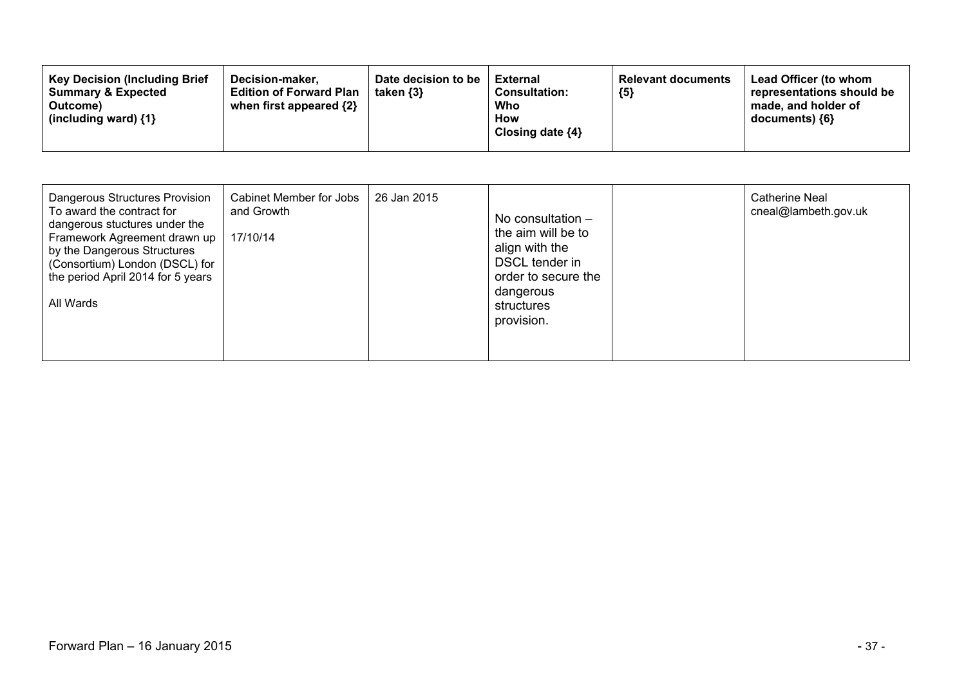| Dangerous Structures Provision<br>To award the contract for<br>and Growth<br>dangerous stuctures under the<br>Framework Agreement drawn up<br>17/10/14<br>by the Dangerous Structures<br>(Consortium) London (DSCL) for<br>the period April 2014 for 5 years<br>All Wards | Cabinet Member for Jobs<br>26 Jan 2015 | No consultation $-$<br>the aim will be to<br>align with the<br>DSCL tender in<br>order to secure the<br>dangerous<br>structures<br>provision. |  | <b>Catherine Neal</b><br>cneal@lambeth.gov.uk |
|---------------------------------------------------------------------------------------------------------------------------------------------------------------------------------------------------------------------------------------------------------------------------|----------------------------------------|-----------------------------------------------------------------------------------------------------------------------------------------------|--|-----------------------------------------------|
|---------------------------------------------------------------------------------------------------------------------------------------------------------------------------------------------------------------------------------------------------------------------------|----------------------------------------|-----------------------------------------------------------------------------------------------------------------------------------------------|--|-----------------------------------------------|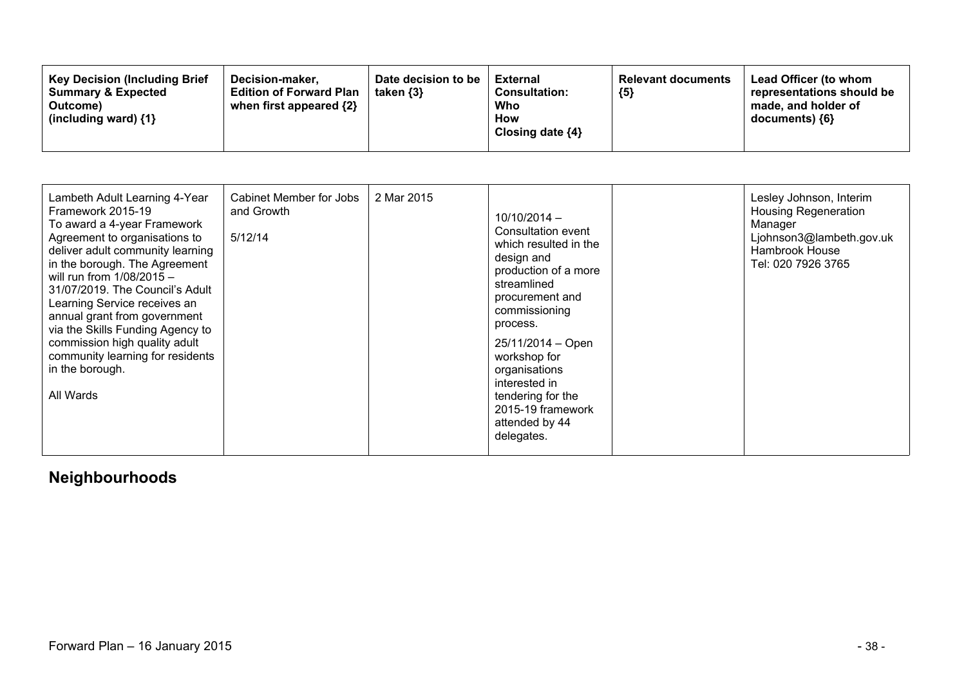| <b>Key Decision (Including Brief</b><br>Decision-maker.<br><b>Summary &amp; Expected</b><br><b>Edition of Forward Plan</b><br>when first appeared $\{2\}$<br>Outcome)<br>(including ward) $\{1\}$ | Date decision to be<br>taken $\{3\}$ | External<br><b>Consultation:</b><br>Who<br>How<br>Closing date $\{4\}$ | <b>Relevant documents</b><br>${5}$ | Lead Officer (to whom<br>representations should be<br>made, and holder of<br>$documents)$ {6} |
|---------------------------------------------------------------------------------------------------------------------------------------------------------------------------------------------------|--------------------------------------|------------------------------------------------------------------------|------------------------------------|-----------------------------------------------------------------------------------------------|
|---------------------------------------------------------------------------------------------------------------------------------------------------------------------------------------------------|--------------------------------------|------------------------------------------------------------------------|------------------------------------|-----------------------------------------------------------------------------------------------|

| Lambeth Adult Learning 4-Year<br>Framework 2015-19<br>To award a 4-year Framework<br>Agreement to organisations to<br>deliver adult community learning<br>in the borough. The Agreement<br>will run from $1/08/2015 -$<br>31/07/2019. The Council's Adult<br>Learning Service receives an<br>annual grant from government<br>via the Skills Funding Agency to<br>commission high quality adult<br>community learning for residents<br>in the borough.<br>All Wards | Cabinet Member for Jobs<br>and Growth<br>5/12/14 | 2 Mar 2015 | $10/10/2014 -$<br>Consultation event<br>which resulted in the<br>design and<br>production of a more<br>streamlined<br>procurement and<br>commissioning<br>process.<br>25/11/2014 - Open<br>workshop for<br>organisations<br>interested in<br>tendering for the<br>2015-19 framework<br>attended by 44<br>delegates. |  | Lesley Johnson, Interim<br><b>Housing Regeneration</b><br>Manager<br>Ljohnson3@lambeth.gov.uk<br>Hambrook House<br>Tel: 020 7926 3765 |
|--------------------------------------------------------------------------------------------------------------------------------------------------------------------------------------------------------------------------------------------------------------------------------------------------------------------------------------------------------------------------------------------------------------------------------------------------------------------|--------------------------------------------------|------------|---------------------------------------------------------------------------------------------------------------------------------------------------------------------------------------------------------------------------------------------------------------------------------------------------------------------|--|---------------------------------------------------------------------------------------------------------------------------------------|
|--------------------------------------------------------------------------------------------------------------------------------------------------------------------------------------------------------------------------------------------------------------------------------------------------------------------------------------------------------------------------------------------------------------------------------------------------------------------|--------------------------------------------------|------------|---------------------------------------------------------------------------------------------------------------------------------------------------------------------------------------------------------------------------------------------------------------------------------------------------------------------|--|---------------------------------------------------------------------------------------------------------------------------------------|

# **Neighbourhoods**